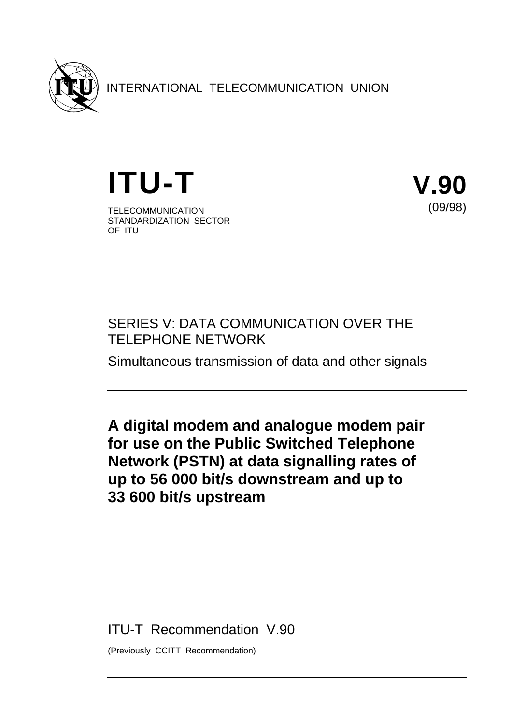

INTERNATIONAL TELECOMMUNICATION UNION

**ITU-T V.90** TELECOMMUNICATION STANDARDIZATION SECTOR OF ITU



# SERIES V: DATA COMMUNICATION OVER THE TELEPHONE NETWORK

Simultaneous transmission of data and other signals

**A digital modem and analogue modem pair for use on the Public Switched Telephone Network (PSTN) at data signalling rates of up to 56 000 bit/s downstream and up to 33 600 bit/s upstream**

ITU-T Recommendation V.90

(Previously CCITT Recommendation)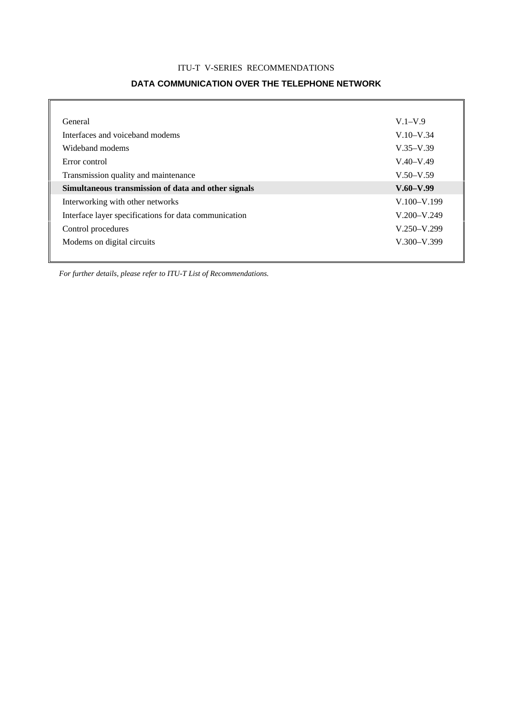### ITU-T V-SERIES RECOMMENDATIONS

### **DATA COMMUNICATION OVER THE TELEPHONE NETWORK**

| General                                               | $V.1 - V.9$     |
|-------------------------------------------------------|-----------------|
| Interfaces and voiceband modems                       | $V.10-V.34$     |
| Wideband modems                                       | $V.35-V.39$     |
| Error control                                         | $V.40-V.49$     |
| Transmission quality and maintenance                  | $V.50-V.59$     |
|                                                       |                 |
| Simultaneous transmission of data and other signals   | $V.60-V.99$     |
| Interworking with other networks                      | $V.100 - V.199$ |
| Interface layer specifications for data communication | $V.200 - V.249$ |
| Control procedures                                    | $V.250 - V.299$ |
| Modems on digital circuits                            | $V.300 - V.399$ |

*For further details, please refer to ITU-T List of Recommendations.*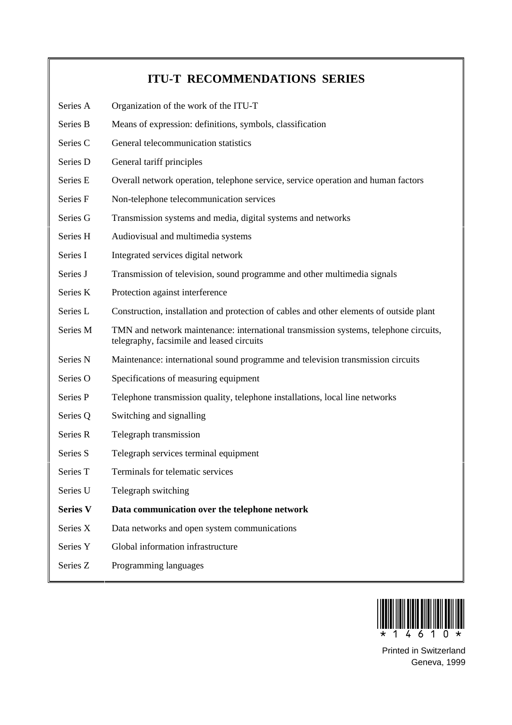# **ITU-T RECOMMENDATIONS SERIES**

- Series A Organization of the work of the ITU-T
- Series B Means of expression: definitions, symbols, classification
- Series C General telecommunication statistics
- Series D General tariff principles
- Series E Overall network operation, telephone service, service operation and human factors
- Series F Non-telephone telecommunication services
- Series G Transmission systems and media, digital systems and networks
- Series H Audiovisual and multimedia systems
- Series I Integrated services digital network
- Series J Transmission of television, sound programme and other multimedia signals
- Series K Protection against interference
- Series L Construction, installation and protection of cables and other elements of outside plant
- Series M TMN and network maintenance: international transmission systems, telephone circuits, telegraphy, facsimile and leased circuits
- Series N Maintenance: international sound programme and television transmission circuits
- Series O Specifications of measuring equipment
- Series P Telephone transmission quality, telephone installations, local line networks
- Series Q Switching and signalling
- Series R Telegraph transmission
- Series S Telegraph services terminal equipment
- Series T Terminals for telematic services
- Series U Telegraph switching
- **Series V Data communication over the telephone network**
- Series  $X$  Data networks and open system communications
- Series Y Global information infrastructure
- Series Z Programming languages



Printed in Switzerland Geneva, 1999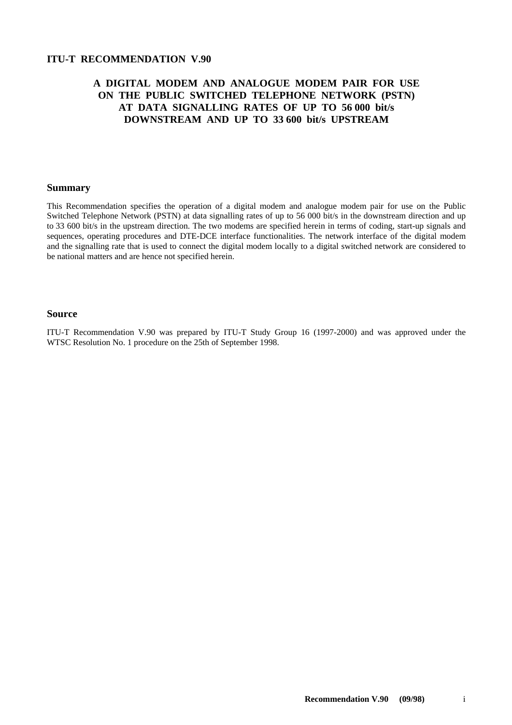### **ITU-T RECOMMENDATION V.90**

### **A DIGITAL MODEM AND ANALOGUE MODEM PAIR FOR USE ON THE PUBLIC SWITCHED TELEPHONE NETWORK (PSTN) AT DATA SIGNALLING RATES OF UP TO 56 000 bit/s DOWNSTREAM AND UP TO 33 600 bit/s UPSTREAM**

### **Summary**

This Recommendation specifies the operation of a digital modem and analogue modem pair for use on the Public Switched Telephone Network (PSTN) at data signalling rates of up to 56 000 bit/s in the downstream direction and up to 33 600 bit/s in the upstream direction. The two modems are specified herein in terms of coding, start-up signals and sequences, operating procedures and DTE-DCE interface functionalities. The network interface of the digital modem and the signalling rate that is used to connect the digital modem locally to a digital switched network are considered to be national matters and are hence not specified herein.

#### **Source**

ITU-T Recommendation V.90 was prepared by ITU-T Study Group 16 (1997-2000) and was approved under the WTSC Resolution No. 1 procedure on the 25th of September 1998.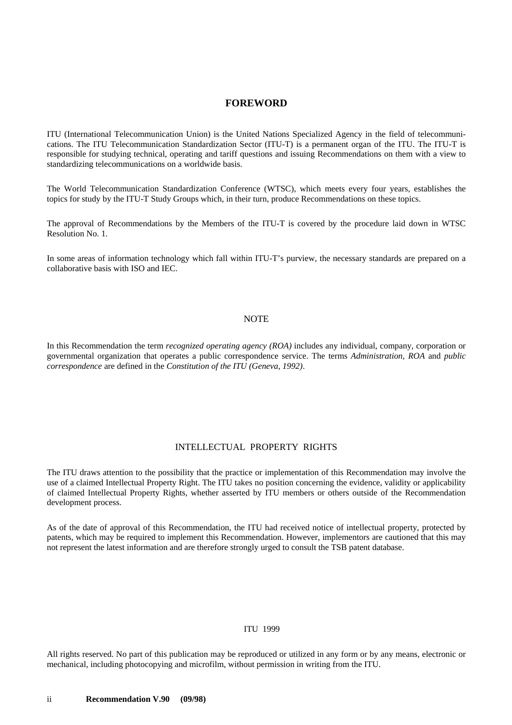### **FOREWORD**

ITU (International Telecommunication Union) is the United Nations Specialized Agency in the field of telecommunications. The ITU Telecommunication Standardization Sector (ITU-T) is a permanent organ of the ITU. The ITU-T is responsible for studying technical, operating and tariff questions and issuing Recommendations on them with a view to standardizing telecommunications on a worldwide basis.

The World Telecommunication Standardization Conference (WTSC), which meets every four years, establishes the topics for study by the ITU-T Study Groups which, in their turn, produce Recommendations on these topics.

The approval of Recommendations by the Members of the ITU-T is covered by the procedure laid down in WTSC Resolution No. 1.

In some areas of information technology which fall within ITU-T's purview, the necessary standards are prepared on a collaborative basis with ISO and IEC.

#### NOTE

In this Recommendation the term *recognized operating agency (ROA)* includes any individual, company, corporation or governmental organization that operates a public correspondence service. The terms *Administration, ROA* and *public correspondence* are defined in the *Constitution of the ITU (Geneva, 1992)*.

### INTELLECTUAL PROPERTY RIGHTS

The ITU draws attention to the possibility that the practice or implementation of this Recommendation may involve the use of a claimed Intellectual Property Right. The ITU takes no position concerning the evidence, validity or applicability of claimed Intellectual Property Rights, whether asserted by ITU members or others outside of the Recommendation development process.

As of the date of approval of this Recommendation, the ITU had received notice of intellectual property, protected by patents, which may be required to implement this Recommendation. However, implementors are cautioned that this may not represent the latest information and are therefore strongly urged to consult the TSB patent database.

### © ITU 1999

All rights reserved. No part of this publication may be reproduced or utilized in any form or by any means, electronic or mechanical, including photocopying and microfilm, without permission in writing from the ITU.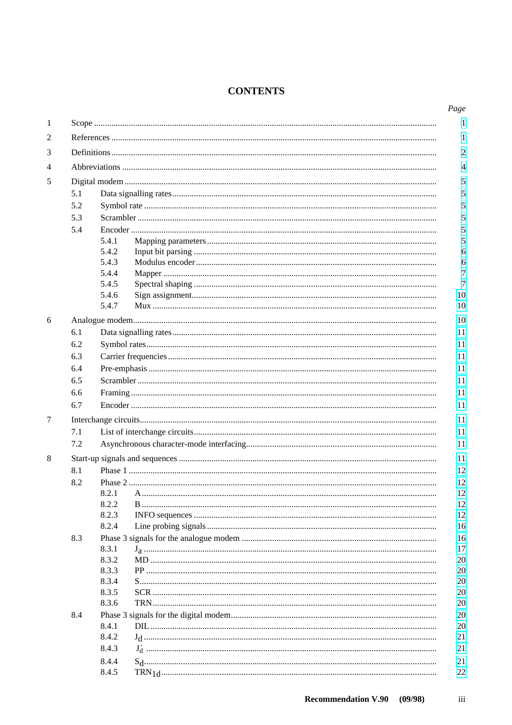## **CONTENTS**

| 5.1 |                |  |  |  |  |  |  |  |
|-----|----------------|--|--|--|--|--|--|--|
| 5.2 |                |  |  |  |  |  |  |  |
| 5.3 |                |  |  |  |  |  |  |  |
| 5.4 |                |  |  |  |  |  |  |  |
|     | 5.4.1          |  |  |  |  |  |  |  |
|     | 5.4.2          |  |  |  |  |  |  |  |
|     | 5.4.3          |  |  |  |  |  |  |  |
|     | 5.4.4          |  |  |  |  |  |  |  |
|     | 5.4.5          |  |  |  |  |  |  |  |
|     | 5.4.6          |  |  |  |  |  |  |  |
|     | 5.4.7          |  |  |  |  |  |  |  |
|     |                |  |  |  |  |  |  |  |
| 6.1 |                |  |  |  |  |  |  |  |
| 6.2 |                |  |  |  |  |  |  |  |
| 6.3 |                |  |  |  |  |  |  |  |
| 6.4 |                |  |  |  |  |  |  |  |
| 6.5 |                |  |  |  |  |  |  |  |
| 6.6 |                |  |  |  |  |  |  |  |
| 6.7 |                |  |  |  |  |  |  |  |
|     |                |  |  |  |  |  |  |  |
| 7.1 |                |  |  |  |  |  |  |  |
| 7.2 |                |  |  |  |  |  |  |  |
|     |                |  |  |  |  |  |  |  |
| 8.1 |                |  |  |  |  |  |  |  |
| 8.2 |                |  |  |  |  |  |  |  |
|     | 8.2.1 A        |  |  |  |  |  |  |  |
|     | 8.2.2          |  |  |  |  |  |  |  |
|     | 8.2.3          |  |  |  |  |  |  |  |
|     | 8.2.4          |  |  |  |  |  |  |  |
| 8.3 |                |  |  |  |  |  |  |  |
|     | 8.3.1          |  |  |  |  |  |  |  |
|     | 8.3.2          |  |  |  |  |  |  |  |
|     | 8.3.3          |  |  |  |  |  |  |  |
|     | 8.3.4          |  |  |  |  |  |  |  |
|     | 8.3.5<br>8.3.6 |  |  |  |  |  |  |  |
|     |                |  |  |  |  |  |  |  |
| 8.4 | 8.4.1          |  |  |  |  |  |  |  |
|     | 8.4.2          |  |  |  |  |  |  |  |
|     | 8.4.3          |  |  |  |  |  |  |  |
|     |                |  |  |  |  |  |  |  |
|     | 8.4.4          |  |  |  |  |  |  |  |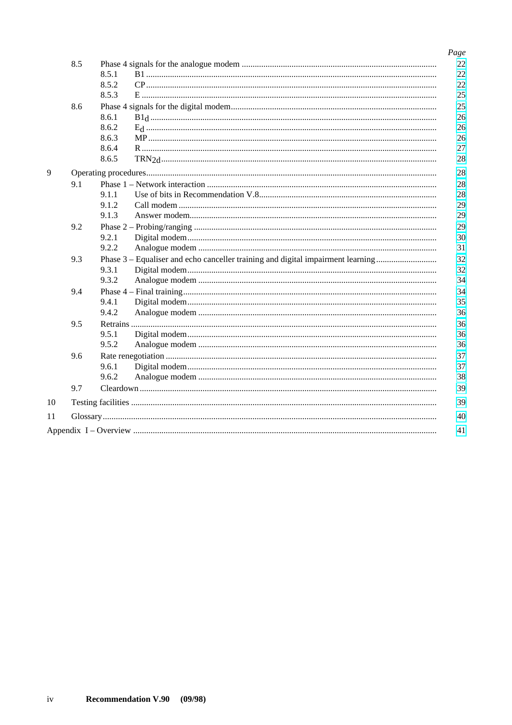| 8.5 |       |                                                                                 | Page<br>22 |
|-----|-------|---------------------------------------------------------------------------------|------------|
|     | 8.5.1 |                                                                                 | 22         |
|     | 8.5.2 |                                                                                 | 22         |
|     | 8.5.3 |                                                                                 | 25         |
| 8.6 |       |                                                                                 | 25         |
|     | 8.6.1 |                                                                                 | 26         |
|     | 8.6.2 |                                                                                 | 26         |
|     | 8.6.3 |                                                                                 | 26         |
|     | 8.6.4 |                                                                                 | 27         |
|     | 8.6.5 |                                                                                 | 28         |
|     |       |                                                                                 | 28         |
| 9.1 |       |                                                                                 | 28         |
|     | 9.1.1 |                                                                                 | 28         |
|     | 9.1.2 |                                                                                 | 29         |
|     | 9.1.3 |                                                                                 | 29         |
| 9.2 |       |                                                                                 | 29         |
|     | 9.2.1 |                                                                                 | 30         |
|     | 9.2.2 |                                                                                 | 31         |
| 9.3 |       | Phase 3 – Equaliser and echo canceller training and digital impairment learning | 32         |
|     | 9.3.1 |                                                                                 | 32         |
|     | 9.3.2 |                                                                                 | 34         |
| 9.4 |       |                                                                                 | 34         |
|     | 9.4.1 |                                                                                 | 35         |
|     | 9.4.2 |                                                                                 | 36         |
| 9.5 |       |                                                                                 | 36         |
|     | 9.5.1 |                                                                                 | 36         |
|     | 9.5.2 |                                                                                 | 36         |
| 9.6 |       |                                                                                 | 37         |
|     | 9.6.1 |                                                                                 | 37         |
|     | 9.6.2 |                                                                                 | 38         |
| 9.7 |       |                                                                                 | 39         |
|     |       |                                                                                 | 39         |
|     |       |                                                                                 | 40         |
|     |       |                                                                                 | 41         |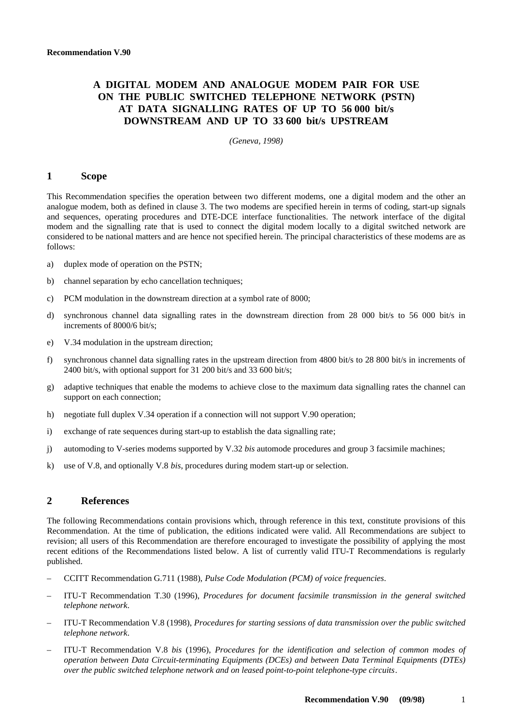### <span id="page-8-0"></span>**A DIGITAL MODEM AND ANALOGUE MODEM PAIR FOR USE ON THE PUBLIC SWITCHED TELEPHONE NETWORK (PSTN) AT DATA SIGNALLING RATES OF UP TO 56 000 bit/s DOWNSTREAM AND UP TO 33 600 bit/s UPSTREAM**

*(Geneva, 1998)*

### **1 Scope**

This Recommendation specifies the operation between two different modems, one a digital modem and the other an analogue modem, both as defined in clause 3. The two modems are specified herein in terms of coding, start-up signals and sequences, operating procedures and DTE-DCE interface functionalities. The network interface of the digital modem and the signalling rate that is used to connect the digital modem locally to a digital switched network are considered to be national matters and are hence not specified herein. The principal characteristics of these modems are as follows:

- a) duplex mode of operation on the PSTN;
- b) channel separation by echo cancellation techniques;
- c) PCM modulation in the downstream direction at a symbol rate of 8000;
- d) synchronous channel data signalling rates in the downstream direction from 28 000 bit/s to 56 000 bit/s in increments of 8000/6 bit/s;
- e) V.34 modulation in the upstream direction;
- f) synchronous channel data signalling rates in the upstream direction from 4800 bit/s to 28 800 bit/s in increments of 2400 bit/s, with optional support for 31 200 bit/s and 33 600 bit/s;
- g) adaptive techniques that enable the modems to achieve close to the maximum data signalling rates the channel can support on each connection;
- h) negotiate full duplex V.34 operation if a connection will not support V.90 operation;
- i) exchange of rate sequences during start-up to establish the data signalling rate;
- j) automoding to V-series modems supported by V.32 *bis* automode procedures and group 3 facsimile machines;
- k) use of V.8, and optionally V.8 *bis*, procedures during modem start-up or selection.

#### **2 References**

The following Recommendations contain provisions which, through reference in this text, constitute provisions of this Recommendation. At the time of publication, the editions indicated were valid. All Recommendations are subject to revision; all users of this Recommendation are therefore encouraged to investigate the possibility of applying the most recent editions of the Recommendations listed below. A list of currently valid ITU-T Recommendations is regularly published.

- CCITT Recommendation G.711 (1988), *Pulse Code Modulation (PCM) of voice frequencies*.
- ITU-T Recommendation T.30 (1996), *Procedures for document facsimile transmission in the general switched telephone network*.
- ITU-T Recommendation V.8 (1998), *Procedures for starting sessions of data transmission over the public switched telephone network*.
- ITU-T Recommendation V.8 *bis* (1996), *Procedures for the identification and selection of common modes of operation between Data Circuit-terminating Equipments (DCEs) and between Data Terminal Equipments (DTEs) over the public switched telephone network and on leased point-to-point telephone-type circuits*.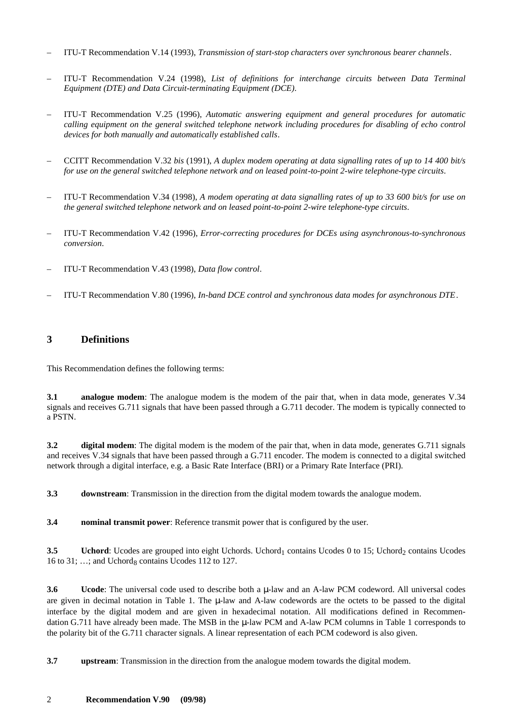- <span id="page-9-0"></span>– ITU-T Recommendation V.14 (1993), *Transmission of start-stop characters over synchronous bearer channels*.
- ITU-T Recommendation V.24 (1998), *List of definitions for interchange circuits between Data Terminal Equipment (DTE) and Data Circuit-terminating Equipment (DCE)*.
- ITU-T Recommendation V.25 (1996), *Automatic answering equipment and general procedures for automatic calling equipment on the general switched telephone network including procedures for disabling of echo control devices for both manually and automatically established calls*.
- CCITT Recommendation V.32 *bis* (1991), *A duplex modem operating at data signalling rates of up to 14 400 bit/s for use on the general switched telephone network and on leased point-to-point 2-wire telephone-type circuits*.
- ITU-T Recommendation V.34 (1998), *A modem operating at data signalling rates of up to 33 600 bit/s for use on the general switched telephone network and on leased point-to-point 2-wire telephone-type circuits*.
- ITU-T Recommendation V.42 (1996), *Error-correcting procedures for DCEs using asynchronous-to-synchronous conversion*.
- ITU-T Recommendation V.43 (1998), *Data flow control*.
- ITU-T Recommendation V.80 (1996), *In-band DCE control and synchronous data modes for asynchronous DTE*.

### **3 Definitions**

This Recommendation defines the following terms:

**3.1 analogue modem**: The analogue modem is the modem of the pair that, when in data mode, generates V.34 signals and receives G.711 signals that have been passed through a G.711 decoder. The modem is typically connected to a PSTN.

**3.2** digital modem: The digital modem is the modem of the pair that, when in data mode, generates G.711 signals and receives V.34 signals that have been passed through a G.711 encoder. The modem is connected to a digital switched network through a digital interface, e.g. a Basic Rate Interface (BRI) or a Primary Rate Interface (PRI).

**3.3 downstream**: Transmission in the direction from the digital modem towards the analogue modem.

**3.4 nominal transmit power**: Reference transmit power that is configured by the user.

**3.5** Uchord: Ucodes are grouped into eight Uchords. Uchord<sub>1</sub> contains Ucodes 0 to 15; Uchord<sub>2</sub> contains Ucodes 16 to 31;  $\ldots$ ; and Uchord<sub>8</sub> contains Ucodes 112 to 127.

**3.6 Ucode**: The universal code used to describe both a µ-law and an A-law PCM codeword. All universal codes are given in decimal notation in Table 1. The  $\mu$ -law and A-law codewords are the octets to be passed to the digital interface by the digital modem and are given in hexadecimal notation. All modifications defined in Recommendation G.711 have already been made. The MSB in the  $\mu$ -law PCM and A-law PCM columns in Table 1 corresponds to the polarity bit of the G.711 character signals. A linear representation of each PCM codeword is also given.

**3.7 upstream**: Transmission in the direction from the analogue modem towards the digital modem.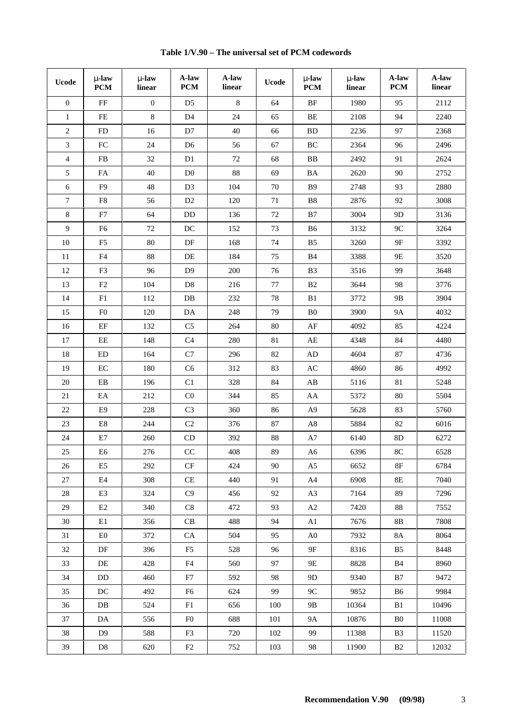| <b>Ucode</b>   | $\mu$ -law<br><b>PCM</b> | $\mu$ -law<br>linear | A-law<br><b>PCM</b>    | A-law<br>linear | <b>Ucode</b> | $\mu$ -law<br>PCM      | $\mu$ -law<br>linear | A-law<br><b>PCM</b> | A-law<br>linear |
|----------------|--------------------------|----------------------|------------------------|-----------------|--------------|------------------------|----------------------|---------------------|-----------------|
| $\overline{0}$ | $\rm FF$                 | $\boldsymbol{0}$     | D <sub>5</sub>         | $\,8\,$         | 64           | BF                     | 1980                 | 95                  | 2112            |
| $\mathbf{1}$   | FE                       | $8\,$                | D4                     | 24              | 65           | ВE                     | 2108                 | 94                  | 2240            |
| $\overline{c}$ | FD                       | 16                   | D7                     | 40              | 66           | ${\rm BD}$             | 2236                 | 97                  | 2368            |
| $\mathfrak{Z}$ | ${\rm FC}$               | 24                   | D <sub>6</sub>         | 56              | 67           | $\rm BC$               | 2364                 | 96                  | 2496            |
| $\overline{4}$ | FB                       | 32                   | D1                     | 72              | 68           | BB                     | 2492                 | 91                  | 2624            |
| 5              | FA                       | 40                   | $\rm D0$               | $88\,$          | 69           | $\rm BA$               | 2620                 | 90                  | 2752            |
| 6              | F <sub>9</sub>           | 48                   | D <sub>3</sub>         | 104             | 70           | <b>B</b> 9             | 2748                 | 93                  | 2880            |
| $7\phantom{.}$ | F8                       | 56                   | D <sub>2</sub>         | 120             | 71           | B8                     | 2876                 | 92                  | 3008            |
| $8\,$          | ${\rm F}7$               | 64                   | DD                     | 136             | 72           | B7                     | 3004                 | 9D                  | 3136            |
| $\overline{9}$ | F <sub>6</sub>           | $72\,$               | $\operatorname{DC}$    | 152             | 73           | <b>B6</b>              | 3132                 | $9C$                | 3264            |
| $10\,$         | F <sub>5</sub>           | $80\,$               | $\rm DF$               | 168             | 74           | B <sub>5</sub>         | 3260                 | $9F$                | 3392            |
| 11             | F4                       | 88                   | DE                     | 184             | 75           | <b>B</b> 4             | 3388                 | 9E                  | 3520            |
| 12             | F <sub>3</sub>           | 96                   | D <sub>9</sub>         | 200             | 76           | B <sub>3</sub>         | 3516                 | 99                  | 3648            |
| 13             | $\rm F2$                 | 104                  | $\mathbf{D}8$          | 216             | $77\,$       | B2                     | 3644                 | 98                  | 3776            |
| 14             | F1                       | 112                  | DB                     | 232             | 78           | B1                     | 3772                 | 9 <sub>B</sub>      | 3904            |
| 15             | F <sub>0</sub>           | 120                  | DA                     | 248             | 79           | B <sub>0</sub>         | 3900                 | <b>9A</b>           | 4032            |
| 16             | $\rm EF$                 | 132                  | C <sub>5</sub>         | 264             | 80           | $\rm AF$               | 4092                 | 85                  | 4224            |
| 17             | EE                       | 148                  | C4                     | 280             | 81           | AE                     | 4348                 | 84                  | 4480            |
| 18             | ED                       | 164                  | C7                     | 296             | 82           | AD                     | 4604                 | 87                  | 4736            |
| 19             | $\rm EC$                 | 180                  | C6                     | 312             | 83           | $\mathbf{A}\mathbf{C}$ | 4860                 | 86                  | 4992            |
| $20\,$         | EB                       | 196                  | C1                     | 328             | 84           | AB                     | 5116                 | 81                  | 5248            |
| 21             | EA                       | 212                  | C <sub>0</sub>         | 344             | 85           | AA                     | 5372                 | 80                  | 5504            |
| $22\,$         | E <sub>9</sub>           | 228                  | C <sub>3</sub>         | 360             | 86           | A9                     | 5628                 | 83                  | 5760            |
| 23             | $\rm E8$                 | 244                  | $\rm C2$               | 376             | $87\,$       | $\rm A8$               | 5884                 | 82                  | 6016            |
| $24\,$         | $\rm E7$                 | 260                  | $\mathop{\mathrm{CD}}$ | 392             | $88\,$       | A7                     | 6140                 | $8\mathrm{D}$       | 6272            |
| $25\,$         | E <sub>6</sub>           | 276                  | $\rm CC$               | 408             | 89           | A6                     | 6396                 | $8\mathrm{C}$       | 6528            |
| 26             | E <sub>5</sub>           | 292                  | CF                     | 424             | 90           | A <sub>5</sub>         | 6652                 | 8F                  | 6784            |
| 27             | E4                       | 308                  | CE                     | 440             | 91           | A4                     | 6908                 | 8E                  | 7040            |
| 28             | E3                       | 324                  | C9                     | 456             | 92           | A <sub>3</sub>         | 7164                 | 89                  | 7296            |
| 29             | E2                       | 340                  | C8                     | 472             | 93           | A2                     | 7420                 | 88                  | 7552            |
| 30             | E1                       | 356                  | CB                     | 488             | 94           | A1                     | 7676                 | 8B                  | 7808            |
| 31             | E0                       | 372                  | CA                     | 504             | 95           | A <sub>0</sub>         | 7932                 | 8A                  | 8064            |
| 32             | DF                       | 396                  | F5                     | 528             | 96           | 9F                     | 8316                 | B5                  | 8448            |
| 33             | DE                       | 428                  | ${\rm F4}$             | 560             | 97           | 9E                     | 8828                 | <b>B</b> 4          | 8960            |
| 34             | DD                       | 460                  | F7                     | 592             | 98           | 9D                     | 9340                 | B7                  | 9472            |
| 35             | DC                       | 492                  | F <sub>6</sub>         | 624             | 99           | 9C                     | 9852                 | B6                  | 9984            |
| 36             | DB.                      | 524                  | F1                     | 656             | 100          | 9B                     | 10364                | B1                  | 10496           |
| 37             | DA                       | 556                  | F <sub>0</sub>         | 688             | 101          | 9A                     | 10876                | B <sub>0</sub>      | 11008           |
| 38             | D9                       | 588                  | F3                     | 720             | 102          | 99                     | 11388                | B <sub>3</sub>      | 11520           |
| 39             | D <sub>8</sub>           | 620                  | F <sub>2</sub>         | 752             | 103          | 98                     | 11900                | B <sub>2</sub>      | 12032           |

**Table 1/V.90 – The universal set of PCM codewords**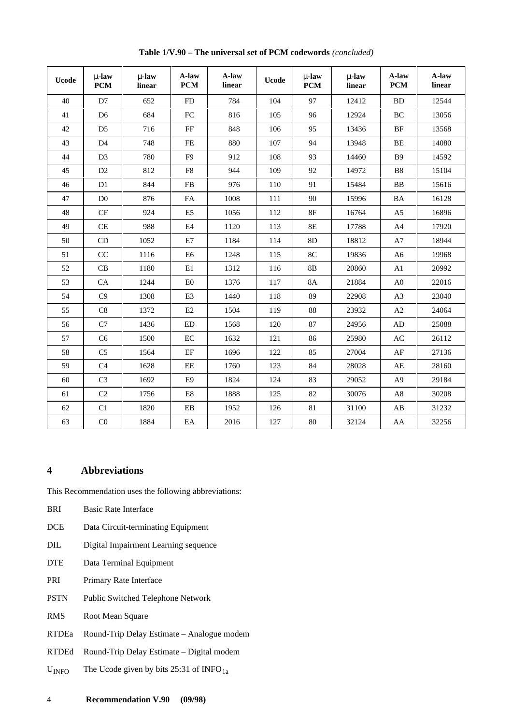<span id="page-11-0"></span>

| <b>Ucode</b> | $\mu$ -law<br>PCM   | $\mu$ -law<br>linear | A-law<br>PCM   | A-law<br>linear | <b>Ucode</b> | $\mu$ -law<br>PCM | $\mu$ -law<br>linear | A-law<br>PCM           | A-law<br>linear |
|--------------|---------------------|----------------------|----------------|-----------------|--------------|-------------------|----------------------|------------------------|-----------------|
| 40           | D7                  | 652                  | FD             | 784             | 104          | 97                | 12412                | <b>BD</b>              | 12544           |
| 41           | D <sub>6</sub>      | 684                  | FC             | 816             | 105          | 96                | 12924                | BC                     | 13056           |
| 42           | D <sub>5</sub>      | 716                  | $\rm FF$       | 848             | 106          | 95                | 13436                | BF                     | 13568           |
| 43           | D <sub>4</sub>      | 748                  | $\rm FE$       | 880             | 107          | 94                | 13948                | BE                     | 14080           |
| 44           | D <sub>3</sub>      | 780                  | F <sub>9</sub> | 912             | 108          | 93                | 14460                | <b>B</b> 9             | 14592           |
| 45           | D2                  | 812                  | ${\rm F}8$     | 944             | 109          | 92                | 14972                | B8                     | 15104           |
| 46           | D1                  | 844                  | FB             | 976             | 110          | 91                | 15484                | BB                     | 15616           |
| 47           | D <sub>0</sub>      | 876                  | ${\rm FA}$     | 1008            | 111          | 90                | 15996                | $\rm BA$               | 16128           |
| 48           | CF                  | 924                  | E <sub>5</sub> | 1056            | 112          | 8F                | 16764                | A <sub>5</sub>         | 16896           |
| 49           | CE                  | 988                  | E4             | 1120            | 113          | $8\mathrm{E}$     | 17788                | A4                     | 17920           |
| 50           | CD                  | 1052                 | E7             | 1184            | 114          | 8D                | 18812                | $\rm A7$               | 18944           |
| 51           | CC                  | 1116                 | E <sub>6</sub> | 1248            | 115          | 8C                | 19836                | A <sub>6</sub>         | 19968           |
| 52           | $\operatorname{CB}$ | 1180                 | $\rm E1$       | 1312            | 116          | $8\mathrm{B}$     | 20860                | A1                     | 20992           |
| 53           | CA                  | 1244                 | ${\rm E0}$     | 1376            | 117          | <b>8A</b>         | 21884                | A <sub>0</sub>         | 22016           |
| 54           | C9                  | 1308                 | E3             | 1440            | 118          | 89                | 22908                | A3                     | 23040           |
| 55           | $\mbox{C}8$         | 1372                 | E2             | 1504            | 119          | $88\,$            | 23932                | $\rm A2$               | 24064           |
| 56           | C7                  | 1436                 | ED             | 1568            | 120          | 87                | 24956                | AD                     | 25088           |
| 57           | C <sub>6</sub>      | 1500                 | $\rm EC$       | 1632            | 121          | 86                | 25980                | AC                     | 26112           |
| 58           | C <sub>5</sub>      | 1564                 | $\rm EF$       | 1696            | 122          | 85                | 27004                | $\rm AF$               | 27136           |
| 59           | C4                  | 1628                 | $\rm{EE}$      | 1760            | 123          | 84                | 28028                | $\mathbf{A}\mathbf{E}$ | 28160           |
| 60           | C <sub>3</sub>      | 1692                 | E <sub>9</sub> | 1824            | 124          | 83                | 29052                | A <sup>9</sup>         | 29184           |
| 61           | C2                  | 1756                 | ${\rm E}8$     | 1888            | 125          | 82                | 30076                | $\rm A8$               | 30208           |
| 62           | C1                  | 1820                 | ${\rm EB}$     | 1952            | 126          | 81                | 31100                | $\mathbf{A}\mathbf{B}$ | 31232           |
| 63           | C <sub>0</sub>      | 1884                 | EA             | 2016            | 127          | $80\,$            | 32124                | AA                     | 32256           |

**Table 1/V.90 – The universal set of PCM codewords** *(concluded)*

### **4 Abbreviations**

This Recommendation uses the following abbreviations:

- BRI Basic Rate Interface
- DCE Data Circuit-terminating Equipment
- DIL Digital Impairment Learning sequence
- DTE Data Terminal Equipment
- PRI Primary Rate Interface
- PSTN Public Switched Telephone Network
- RMS Root Mean Square
- RTDEa Round-Trip Delay Estimate Analogue modem
- RTDEd Round-Trip Delay Estimate Digital modem
- $U<sub>INFO</sub>$  The Ucode given by bits 25:31 of INFO<sub>1a</sub>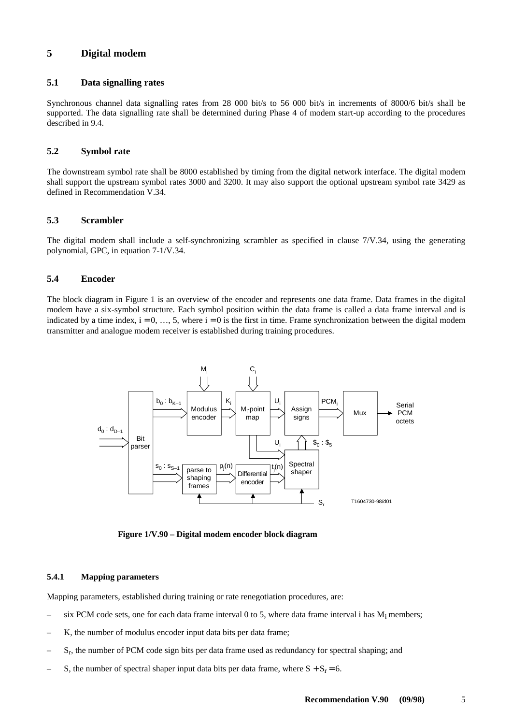### <span id="page-12-0"></span>**5 Digital modem**

### **5.1 Data signalling rates**

Synchronous channel data signalling rates from 28 000 bit/s to 56 000 bit/s in increments of 8000/6 bit/s shall be supported. The data signalling rate shall be determined during Phase 4 of modem start-up according to the procedures described in 9.4.

### **5.2 Symbol rate**

The downstream symbol rate shall be 8000 established by timing from the digital network interface. The digital modem shall support the upstream symbol rates 3000 and 3200. It may also support the optional upstream symbol rate 3429 as defined in Recommendation V.34.

### **5.3 Scrambler**

The digital modem shall include a self-synchronizing scrambler as specified in clause 7/V.34, using the generating polynomial, GPC, in equation 7-1/V.34.

### **5.4 Encoder**

The block diagram in Figure 1 is an overview of the encoder and represents one data frame. Data frames in the digital modem have a six-symbol structure. Each symbol position within the data frame is called a data frame interval and is indicated by a time index,  $i = 0, \ldots, 5$ , where  $i = 0$  is the first in time. Frame synchronization between the digital modem transmitter and analogue modem receiver is established during training procedures.



**Figure 1/V.90 – Digital modem encoder block diagram**

#### **5.4.1 Mapping parameters**

Mapping parameters, established during training or rate renegotiation procedures, are:

- six PCM code sets, one for each data frame interval 0 to 5, where data frame interval i has  $M_i$  members;
- K, the number of modulus encoder input data bits per data frame;
- $S_r$ , the number of PCM code sign bits per data frame used as redundancy for spectral shaping; and
- S, the number of spectral shaper input data bits per data frame, where  $S + S_r = 6$ .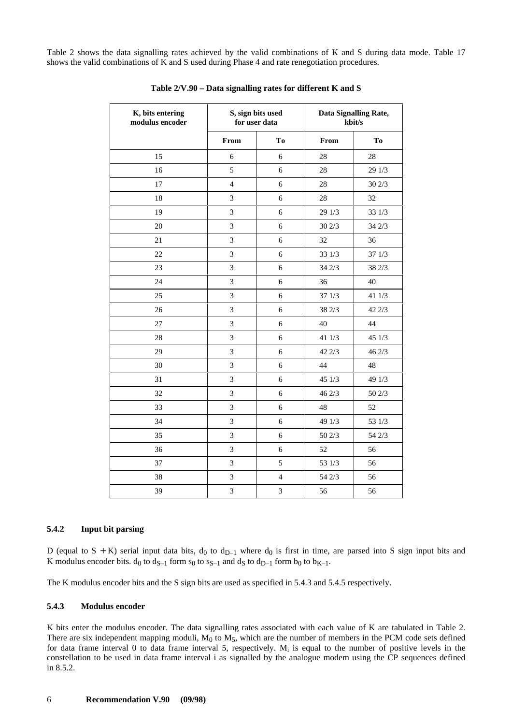<span id="page-13-0"></span>Table 2 shows the data signalling rates achieved by the valid combinations of K and S during data mode. Table 17 shows the valid combinations of K and S used during Phase 4 and rate renegotiation procedures.

| K, bits entering<br>modulus encoder |                | S, sign bits used<br>for user data |        | Data Signalling Rate,<br>kbit/s |
|-------------------------------------|----------------|------------------------------------|--------|---------------------------------|
|                                     | From           | T <sub>0</sub>                     | From   | T <sub>0</sub>                  |
| 15                                  | 6              | 6                                  | 28     | 28                              |
| 16                                  | 5              | 6                                  | 28     | 29 1/3                          |
| 17                                  | $\overline{4}$ | 6                                  | 28     | 30 2/3                          |
| 18                                  | $\overline{3}$ | 6                                  | 28     | 32                              |
| 19                                  | 3              | 6                                  | 29 1/3 | 33 1/3                          |
| 20                                  | $\overline{3}$ | 6                                  | 30 2/3 | 342/3                           |
| 21                                  | $\overline{3}$ | 6                                  | 32     | 36                              |
| 22                                  | 3              | 6                                  | 33 1/3 | 37 1/3                          |
| 23                                  | $\mathfrak{Z}$ | 6                                  | 34 2/3 | 38 2/3                          |
| 24                                  | 3              | 6                                  | 36     | 40                              |
| 25                                  | $\overline{3}$ | 6                                  | 37 1/3 | 41 1/3                          |
| 26                                  | $\mathfrak{Z}$ | 6                                  | 38 2/3 | 42 2/3                          |
| 27                                  | 3              | 6                                  | 40     | 44                              |
| 28                                  | $\overline{3}$ | 6                                  | 41 1/3 | 45 1/3                          |
| 29                                  | 3              | 6                                  | 42 2/3 | 46 2/3                          |
| 30                                  | 3              | 6                                  | 44     | 48                              |
| 31                                  | 3              | 6                                  | 45 1/3 | 49 1/3                          |
| 32                                  | 3              | 6                                  | 46 2/3 | 50 2/3                          |
| 33                                  | 3              | 6                                  | 48     | 52                              |
| 34                                  | $\overline{3}$ | 6                                  | 49 1/3 | 53 1/3                          |
| 35                                  | 3              | 6                                  | 50 2/3 | 54 2/3                          |
| 36                                  | $\mathfrak{Z}$ | 6                                  | 52     | 56                              |
| 37                                  | $\overline{3}$ | 5                                  | 53 1/3 | 56                              |
| 38                                  | 3              | $\overline{\mathcal{L}}$           | 54 2/3 | 56                              |
| 39                                  | 3              | $\overline{3}$                     | 56     | 56                              |

**Table 2/V.90 – Data signalling rates for different K and S**

#### **5.4.2 Input bit parsing**

D (equal to  $S + K$ ) serial input data bits,  $d_0$  to  $d_{D-1}$  where  $d_0$  is first in time, are parsed into S sign input bits and K modulus encoder bits.  $d_0$  to  $d_{S-1}$  form  $s_0$  to  $s_{S-1}$  and  $d_S$  to  $d_{D-1}$  form  $b_0$  to  $b_{K-1}$ .

The K modulus encoder bits and the S sign bits are used as specified in 5.4.3 and 5.4.5 respectively.

#### **5.4.3 Modulus encoder**

K bits enter the modulus encoder. The data signalling rates associated with each value of K are tabulated in Table 2. There are six independent mapping moduli,  $M_0$  to  $M_5$ , which are the number of members in the PCM code sets defined for data frame interval 0 to data frame interval 5, respectively.  $M_i$  is equal to the number of positive levels in the constellation to be used in data frame interval i as signalled by the analogue modem using the CP sequences defined in 8.5.2.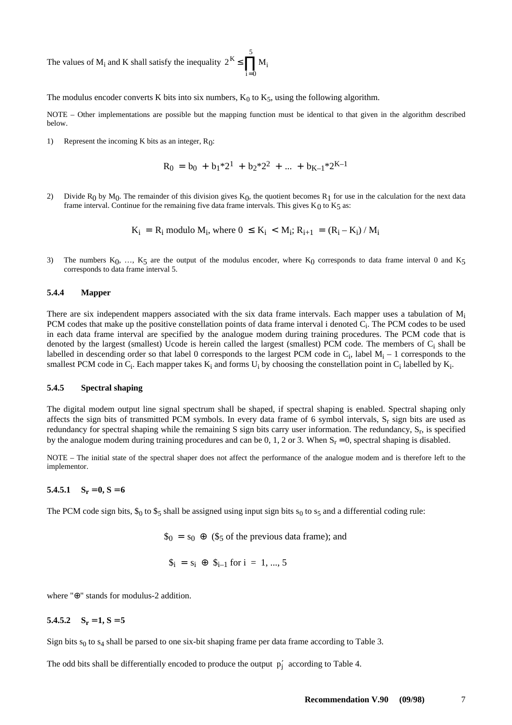<span id="page-14-0"></span>The values of  $M_i$  and K shall satisfy the inequality  $2^K \le \prod_{i=1}^{5} M_i$ i =  $\boldsymbol{0}$ 

The modulus encoder converts K bits into six numbers,  $K_0$  to  $K_5$ , using the following algorithm.

NOTE – Other implementations are possible but the mapping function must be identical to that given in the algorithm described below.

1) Represent the incoming K bits as an integer, R0:

$$
R_0 = b_0 + b_1^* 2^1 + b_2^* 2^2 + \dots + b_{K-1}^* 2^{K-1}
$$

2) Divide R<sub>0</sub> by M<sub>0</sub>. The remainder of this division gives K<sub>0</sub>, the quotient becomes R<sub>1</sub> for use in the calculation for the next data frame interval. Continue for the remaining five data frame intervals. This gives  $K_0$  to  $K_5$  as:

$$
K_i = R_i
$$
 modulo  $M_i$ , where  $0 \le K_i < M_i$ ;  $R_{i+1} = (R_i - K_i) / M_i$ 

3) The numbers  $K_0$ , ...,  $K_5$  are the output of the modulus encoder, where  $K_0$  corresponds to data frame interval 0 and  $K_5$ corresponds to data frame interval 5.

#### **5.4.4 Mapper**

There are six independent mappers associated with the six data frame intervals. Each mapper uses a tabulation of  $M_i$ PCM codes that make up the positive constellation points of data frame interval i denoted  $C_i$ . The PCM codes to be used in each data frame interval are specified by the analogue modem during training procedures. The PCM code that is denoted by the largest (smallest) Ucode is herein called the largest (smallest) PCM code. The members of C<sub>i</sub> shall be labelled in descending order so that label 0 corresponds to the largest PCM code in  $C_i$ , label  $M_i - 1$  corresponds to the smallest PCM code in  $C_i$ . Each mapper takes  $K_i$  and forms  $U_i$  by choosing the constellation point in  $C_i$  labelled by  $K_i$ .

#### **5.4.5 Spectral shaping**

The digital modem output line signal spectrum shall be shaped, if spectral shaping is enabled. Spectral shaping only affects the sign bits of transmitted PCM symbols. In every data frame of 6 symbol intervals,  $S_r$  sign bits are used as redundancy for spectral shaping while the remaining S sign bits carry user information. The redundancy,  $S_r$ , is specified by the analogue modem during training procedures and can be 0, 1, 2 or 3. When  $S_r = 0$ , spectral shaping is disabled.

NOTE – The initial state of the spectral shaper does not affect the performance of the analogue modem and is therefore left to the implementor.

### $5.4.5.1$   $S_r = 0, S = 6$

The PCM code sign bits,  $\$_0$  to  $\$_5$  shall be assigned using input sign bits  $s_0$  to  $s_5$  and a differential coding rule:

 $\$_{0} = \$_{0} \oplus (\$_{5} \text{ of the previous data frame});$  and

$$
\$_i = s_i \oplus \$_{i-1} \text{ for } i = 1, ..., 5
$$

where "⊕" stands for modulus-2 addition.

### $5.4.5.2$   $S_r = 1, S = 5$

Sign bits  $s_0$  to  $s_4$  shall be parsed to one six-bit shaping frame per data frame according to Table 3.

The odd bits shall be differentially encoded to produce the output  $p'_j$  according to Table 4.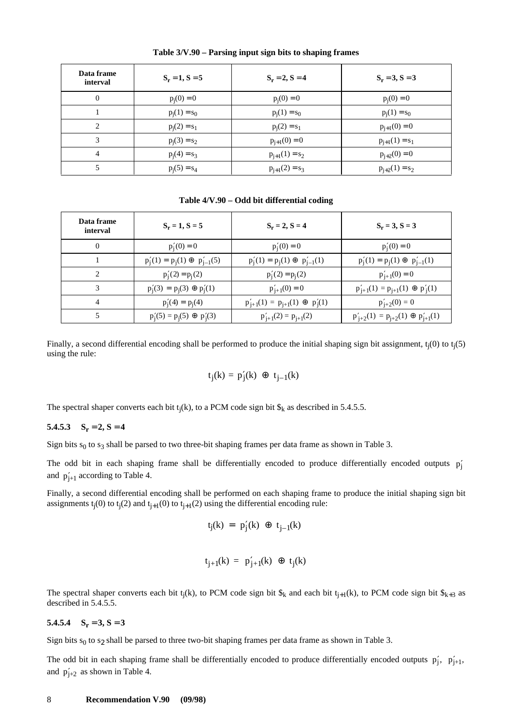| Data frame<br>interval | $S_r = 1, S = 5$ | $S_r = 2, S = 4$   | $S_r = 3, S = 3$   |
|------------------------|------------------|--------------------|--------------------|
| $\overline{0}$         | $p_i(0) = 0$     | $p_i(0) = 0$       | $p_i(0) = 0$       |
|                        | $p_i(1) = s_0$   | $p_i(1) = s_0$     | $p_i(1) = s_0$     |
| 2                      | $p_i(2) = s_1$   | $p_i(2) = s_1$     | $p_{i+1}(0) = 0$   |
| 3                      | $p_i(3) = s_2$   | $p_{j+1}(0) = 0$   | $p_{i+1}(1) = s_1$ |
| $\overline{4}$         | $p_i(4) = s_3$   | $p_{j+1}(1) = s_2$ | $p_{i+2}(0) = 0$   |
| 5                      | $p_i(5) = s_4$   | $p_{j+1}(2) = s_3$ | $p_{i+2}(1) = s_2$ |

**Table 3/V.90 – Parsing input sign bits to shaping frames**

**Table 4/V.90 – Odd bit differential coding**

| Data frame<br>interval | $S_r = 1, S = 5$                          | $S_r = 2, S = 4$                            | $S_r = 3, S = 3$                              |
|------------------------|-------------------------------------------|---------------------------------------------|-----------------------------------------------|
| $\theta$               | $p'_i(0) = 0$                             | $p'_{i}(0) = 0$                             | $p'_i(0) = 0$                                 |
|                        | $p'_{i}(1) = p_{i}(1) \oplus p'_{i-1}(5)$ | $p'_i(1) = p_i(1) \oplus p'_{i-1}(1)$       | $p'_{j}(1) = p_{j}(1) \oplus p'_{j-1}(1)$     |
| $\mathfrak{D}$         | $p'_i(2) = p_i(2)$                        | $p'_i(2) = p_i(2)$                          | $p'_{i+1}(0) = 0$                             |
| 3                      | $p'_i(3) = p_i(3) \oplus p'_i(1)$         | $p'_{i+1}(0) = 0$                           | $p'_{j+1}(1) = p_{j+1}(1) \oplus p'_{j}(1)$   |
| 4                      | $p'_i(4) = p_i(4)$                        | $p'_{j+1}(1) = p_{j+1}(1) \oplus p'_{i}(1)$ | $p'_{i+2}(0) = 0$                             |
|                        | $p'_{i}(5) = p_{i}(5) \oplus p'_{i}(3)$   | $p'_{i+1}(2) = p_{i+1}(2)$                  | $p'_{i+2}(1) = p_{i+2}(1) \oplus p'_{i+1}(1)$ |

Finally, a second differential encoding shall be performed to produce the initial shaping sign bit assignment,  $t_i(0)$  to  $t_i(5)$ using the rule:

$$
t_j(k) = p'_j(k) \oplus t_{j-1}(k)
$$

The spectral shaper converts each bit  $t_i(k)$ , to a PCM code sign bit  $\hat{\mathbf{s}}_k$  as described in 5.4.5.5.

#### 5.4.5.3  $S_r = 2, S = 4$

Sign bits  $s_0$  to  $s_3$  shall be parsed to two three-bit shaping frames per data frame as shown in Table 3.

The odd bit in each shaping frame shall be differentially encoded to produce differentially encoded outputs  $p'_j$ and  $p'_{j+1}$  according to Table 4.

Finally, a second differential encoding shall be performed on each shaping frame to produce the initial shaping sign bit assignments  $t_i(0)$  to  $t_i(2)$  and  $t_{i+1}(0)$  to  $t_{i+1}(2)$  using the differential encoding rule:

$$
t_j(k) = p'_j(k) \oplus t_{j-1}(k)
$$

$$
t_{j+1}(k) = p'_{j+1}(k) \oplus t_j(k)
$$

The spectral shaper converts each bit t<sub>j</sub>(k), to PCM code sign bit  $\hat{s}_k$  and each bit t<sub>j+1</sub>(k), to PCM code sign bit  $\hat{s}_{k+3}$  as described in 5.4.5.5.

#### $5.4.5.4$   $S_r = 3, S = 3$

Sign bits  $s_0$  to  $s_2$  shall be parsed to three two-bit shaping frames per data frame as shown in Table 3.

The odd bit in each shaping frame shall be differentially encoded to produce differentially encoded outputs  $p'_j$ ,  $p'_{j+1}$ , and  $p'_{j+2}$  as shown in Table 4.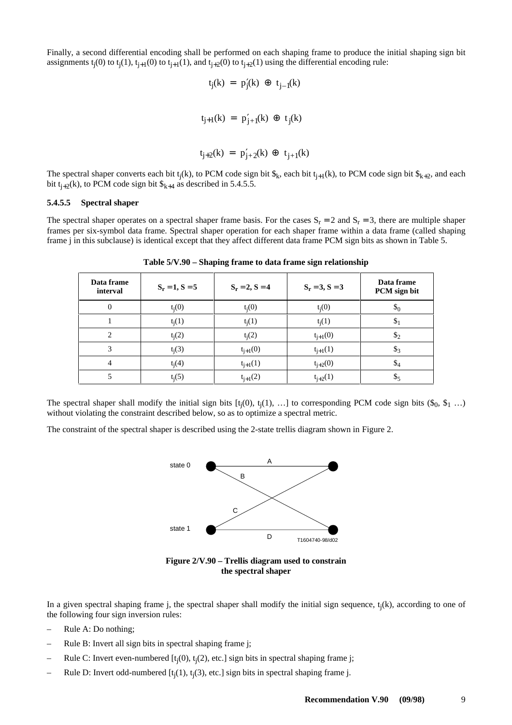Finally, a second differential encoding shall be performed on each shaping frame to produce the initial shaping sign bit assignments  $t_i(0)$  to  $t_i(1)$ ,  $t_{i+1}(0)$  to  $t_{i+1}(1)$ , and  $t_{i+2}(0)$  to  $t_{i+2}(1)$  using the differential encoding rule:

$$
t_j(k) = p'_j(k) \oplus t_{j-1}(k)
$$
  

$$
t_{j+1}(k) = p'_{j+1}(k) \oplus t_j(k)
$$

$$
t_{j+2}(k) = p'_{j+2}(k) \oplus t_{j+1}(k)
$$

The spectral shaper converts each bit t<sub>j</sub>(k), to PCM code sign bit  $\mathcal{S}_k$ , each bit t<sub>j+1</sub>(k), to PCM code sign bit  $\mathcal{S}_{k+2}$ , and each bit  $t_{i+2}(k)$ , to PCM code sign bit  $\$_{k+4}$  as described in 5.4.5.5.

#### **5.4.5.5 Spectral shaper**

The spectral shaper operates on a spectral shaper frame basis. For the cases  $S_r = 2$  and  $S_r = 3$ , there are multiple shaper frames per six-symbol data frame. Spectral shaper operation for each shaper frame within a data frame (called shaping frame j in this subclause) is identical except that they affect different data frame PCM sign bits as shown in Table 5.

| Data frame<br>interval | $S_r = 1, S = 5$ | $S_r = 2, S = 4$ | $S_r = 3, S = 3$ | Data frame<br>PCM sign bit |
|------------------------|------------------|------------------|------------------|----------------------------|
| $\mathbf{0}$           | $t_i(0)$         | $t_i(0)$         | $t_i(0)$         | $\mathcal{S}_0$            |
|                        | $t_i(1)$         | $t_i(1)$         | $t_i(1)$         | $\mathcal{E}$              |
| $\overline{c}$         | $t_i(2)$         | $t_i(2)$         | $t_{j+1}(0)$     | $\mathcal{S}_2$            |
| 3                      | $t_i(3)$         | $t_{j+1}(0)$     | $t_{j+1}(1)$     | $\mathcal{S}_3$            |
| $\overline{4}$         | $t_i(4)$         | $t_{j+1}(1)$     | $t_{j+2}(0)$     | $\mathcal{S}_4$            |
| 5                      | $t_i(5)$         | $t_{j+1}(2)$     | $t_{j+2}(1)$     | - ২                        |

**Table 5/V.90 – Shaping frame to data frame sign relationship**

The spectral shaper shall modify the initial sign bits  $[t_i(0), t_i(1), \ldots]$  to corresponding PCM code sign bits  $(\hat{s}_0, \hat{s}_1, \ldots)$ without violating the constraint described below, so as to optimize a spectral metric.

The constraint of the spectral shaper is described using the 2-state trellis diagram shown in Figure 2.



**Figure 2/V.90 – Trellis diagram used to constrain the spectral shaper**

In a given spectral shaping frame j, the spectral shaper shall modify the initial sign sequence,  $t_i(k)$ , according to one of the following four sign inversion rules:

- Rule A: Do nothing;
- Rule B: Invert all sign bits in spectral shaping frame j;
- Rule C: Invert even-numbered [t<sub>j</sub>(0), t<sub>j</sub>(2), etc.] sign bits in spectral shaping frame j;
- Rule D: Invert odd-numbered [t<sub>j</sub>(1), t<sub>j</sub>(3), etc.] sign bits in spectral shaping frame j.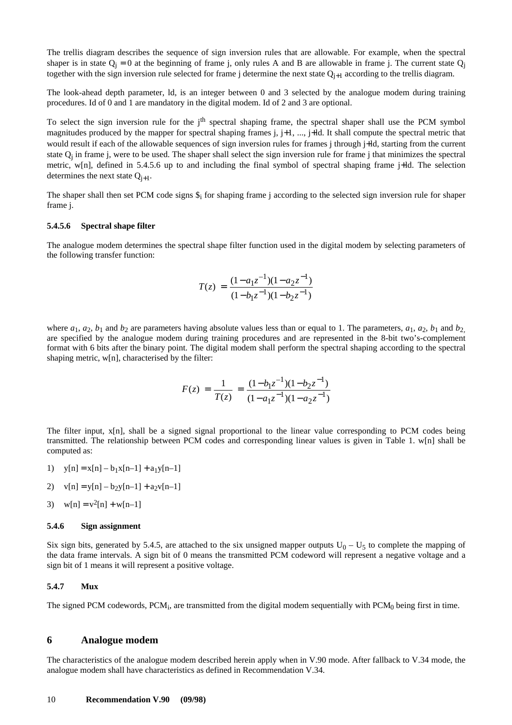<span id="page-17-0"></span>The trellis diagram describes the sequence of sign inversion rules that are allowable. For example, when the spectral shaper is in state  $Q_i = 0$  at the beginning of frame j, only rules A and B are allowable in frame j. The current state  $Q_i$ together with the sign inversion rule selected for frame j determine the next state  $Q_{i+1}$  according to the trellis diagram.

The look-ahead depth parameter, ld, is an integer between 0 and 3 selected by the analogue modem during training procedures. Id of 0 and 1 are mandatory in the digital modem. Id of 2 and 3 are optional.

To select the sign inversion rule for the j<sup>th</sup> spectral shaping frame, the spectral shaper shall use the PCM symbol magnitudes produced by the mapper for spectral shaping frames j, j+1, ..., j+ld. It shall compute the spectral metric that would result if each of the allowable sequences of sign inversion rules for frames j through j+ld, starting from the current state  $Q_i$  in frame j, were to be used. The shaper shall select the sign inversion rule for frame j that minimizes the spectral metric, w[n], defined in 5.4.5.6 up to and including the final symbol of spectral shaping frame j+ld. The selection determines the next state  $Q_{i+1}$ .

The shaper shall then set PCM code signs  $\hat{s_i}$  for shaping frame j according to the selected sign inversion rule for shaper frame j.

#### **5.4.5.6 Spectral shape filter**

The analogue modem determines the spectral shape filter function used in the digital modem by selecting parameters of the following transfer function:

$$
T(z) = \frac{(1 - a_1 z^{-1})(1 - a_2 z^{-1})}{(1 - b_1 z^{-1})(1 - b_2 z^{-1})}
$$

where  $a_1$ ,  $a_2$ ,  $b_1$  and  $b_2$  are parameters having absolute values less than or equal to 1. The parameters,  $a_1$ ,  $a_2$ ,  $b_1$  and  $b_2$ are specified by the analogue modem during training procedures and are represented in the 8-bit two's-complement format with 6 bits after the binary point. The digital modem shall perform the spectral shaping according to the spectral shaping metric, w[n], characterised by the filter:

$$
F(z) = \frac{1}{T(z)} = \frac{(1 - b_1 z^{-1})(1 - b_2 z^{-1})}{(1 - a_1 z^{-1})(1 - a_2 z^{-1})}
$$

The filter input, x[n], shall be a signed signal proportional to the linear value corresponding to PCM codes being transmitted. The relationship between PCM codes and corresponding linear values is given in Table 1. w[n] shall be computed as:

- 1)  $y[n] = x[n] b_1x[n-1] + a_1y[n-1]$
- 2)  $v[n] = v[n] b_2y[n-1] + a_2v[n-1]$
- 3)  $w[n] = v^2[n] + w[n-1]$

#### **5.4.6 Sign assignment**

Six sign bits, generated by 5.4.5, are attached to the six unsigned mapper outputs  $U_0 - U_5$  to complete the mapping of the data frame intervals. A sign bit of 0 means the transmitted PCM codeword will represent a negative voltage and a sign bit of 1 means it will represent a positive voltage.

#### **5.4.7 Mux**

The signed PCM codewords,  $PCM_i$ , are transmitted from the digital modem sequentially with  $PCM_0$  being first in time.

#### **6 Analogue modem**

The characteristics of the analogue modem described herein apply when in V.90 mode. After fallback to V.34 mode, the analogue modem shall have characteristics as defined in Recommendation V.34.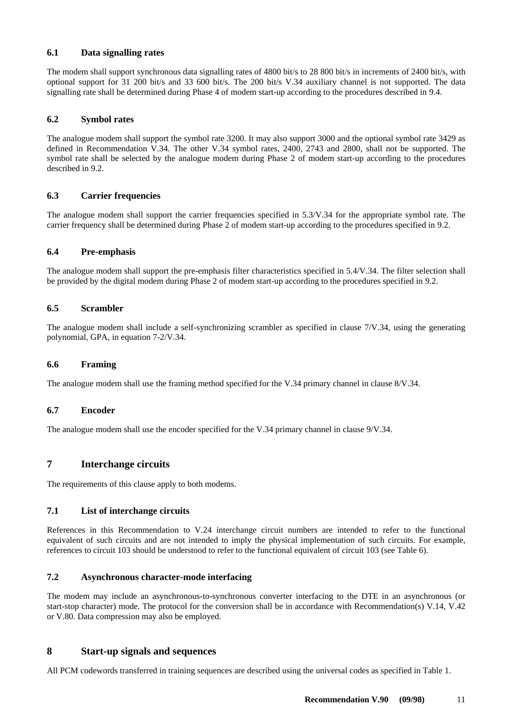### <span id="page-18-0"></span>**6.1 Data signalling rates**

The modem shall support synchronous data signalling rates of 4800 bit/s to 28 800 bit/s in increments of 2400 bit/s, with optional support for 31 200 bit/s and 33 600 bit/s. The 200 bit/s V.34 auxiliary channel is not supported. The data signalling rate shall be determined during Phase 4 of modem start-up according to the procedures described in 9.4.

### **6.2 Symbol rates**

The analogue modem shall support the symbol rate 3200. It may also support 3000 and the optional symbol rate 3429 as defined in Recommendation V.34. The other V.34 symbol rates, 2400, 2743 and 2800, shall not be supported. The symbol rate shall be selected by the analogue modem during Phase 2 of modem start-up according to the procedures described in 9.2.

### **6.3 Carrier frequencies**

The analogue modem shall support the carrier frequencies specified in 5.3/V.34 for the appropriate symbol rate. The carrier frequency shall be determined during Phase 2 of modem start-up according to the procedures specified in 9.2.

### **6.4 Pre-emphasis**

The analogue modem shall support the pre-emphasis filter characteristics specified in 5.4/V.34. The filter selection shall be provided by the digital modem during Phase 2 of modem start-up according to the procedures specified in 9.2.

### **6.5 Scrambler**

The analogue modem shall include a self-synchronizing scrambler as specified in clause 7/V.34, using the generating polynomial, GPA, in equation 7-2/V.34.

### **6.6 Framing**

The analogue modem shall use the framing method specified for the V.34 primary channel in clause 8/V.34.

### **6.7 Encoder**

The analogue modem shall use the encoder specified for the V.34 primary channel in clause 9/V.34.

### **7 Interchange circuits**

The requirements of this clause apply to both modems.

### **7.1 List of interchange circuits**

References in this Recommendation to V.24 interchange circuit numbers are intended to refer to the functional equivalent of such circuits and are not intended to imply the physical implementation of such circuits. For example, references to circuit 103 should be understood to refer to the functional equivalent of circuit 103 (see Table 6).

### **7.2 Asynchronous character-mode interfacing**

The modem may include an asynchronous-to-synchronous converter interfacing to the DTE in an asynchronous (or start-stop character) mode. The protocol for the conversion shall be in accordance with Recommendation(s) V.14, V.42 or V.80. Data compression may also be employed.

### **8 Start-up signals and sequences**

All PCM codewords transferred in training sequences are described using the universal codes as specified in Table 1.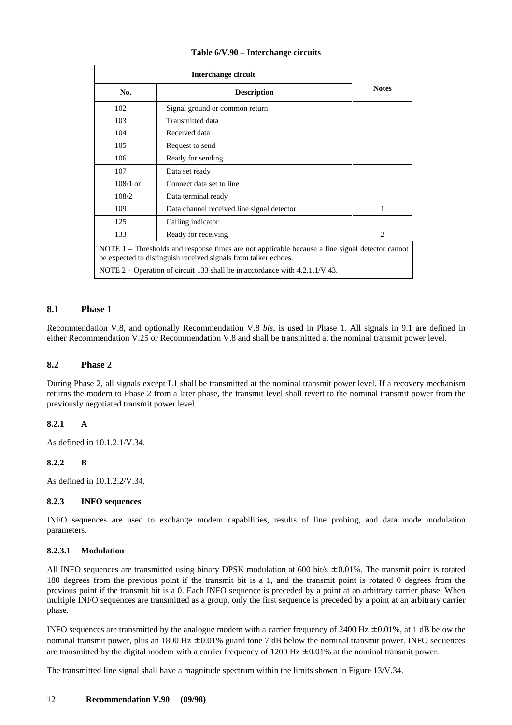<span id="page-19-0"></span>

| No.        | <b>Description</b>                                                                                                                                                 | <b>Notes</b> |
|------------|--------------------------------------------------------------------------------------------------------------------------------------------------------------------|--------------|
| 102        | Signal ground or common return                                                                                                                                     |              |
| 103        | Transmitted data                                                                                                                                                   |              |
| 104        | Received data                                                                                                                                                      |              |
| 105        | Request to send                                                                                                                                                    |              |
| 106        | Ready for sending                                                                                                                                                  |              |
| 107        | Data set ready                                                                                                                                                     |              |
| $108/1$ or | Connect data set to line                                                                                                                                           |              |
| 108/2      | Data terminal ready                                                                                                                                                |              |
| 109        | Data channel received line signal detector                                                                                                                         | 1            |
| 125        | Calling indicator                                                                                                                                                  |              |
| 133        | Ready for receiving                                                                                                                                                | 2            |
|            | NOTE 1 - Thresholds and response times are not applicable because a line signal detector cannot<br>be expected to distinguish received signals from talker echoes. |              |
|            | NOTE 2 – Operation of circuit 133 shall be in accordance with $4.2.1.1/\text{V}.43$ .                                                                              |              |

#### **8.1 Phase 1**

Recommendation V.8, and optionally Recommendation V.8 *bis*, is used in Phase 1. All signals in 9.1 are defined in either Recommendation V.25 or Recommendation V.8 and shall be transmitted at the nominal transmit power level.

#### **8.2 Phase 2**

During Phase 2, all signals except L1 shall be transmitted at the nominal transmit power level. If a recovery mechanism returns the modem to Phase 2 from a later phase, the transmit level shall revert to the nominal transmit power from the previously negotiated transmit power level.

#### **8.2.1 A**

As defined in 10.1.2.1/V.34.

#### **8.2.2 B**

As defined in 10.1.2.2/V.34.

#### **8.2.3 INFO sequences**

INFO sequences are used to exchange modem capabilities, results of line probing, and data mode modulation parameters.

#### **8.2.3.1 Modulation**

All INFO sequences are transmitted using binary DPSK modulation at 600 bit/s  $\pm$  0.01%. The transmit point is rotated 180 degrees from the previous point if the transmit bit is a 1, and the transmit point is rotated 0 degrees from the previous point if the transmit bit is a 0. Each INFO sequence is preceded by a point at an arbitrary carrier phase. When multiple INFO sequences are transmitted as a group, only the first sequence is preceded by a point at an arbitrary carrier phase.

INFO sequences are transmitted by the analogue modem with a carrier frequency of  $2400 \text{ Hz} \pm 0.01\%$ , at 1 dB below the nominal transmit power, plus an 1800 Hz  $\pm$  0.01% guard tone 7 dB below the nominal transmit power. INFO sequences are transmitted by the digital modem with a carrier frequency of  $1200 \text{ Hz} \pm 0.01\%$  at the nominal transmit power.

The transmitted line signal shall have a magnitude spectrum within the limits shown in Figure 13/V.34.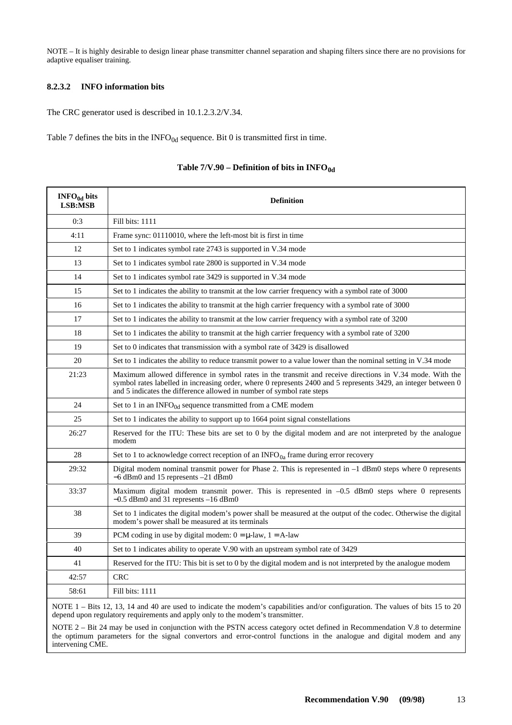NOTE – It is highly desirable to design linear phase transmitter channel separation and shaping filters since there are no provisions for adaptive equaliser training.

### **8.2.3.2 INFO information bits**

The CRC generator used is described in 10.1.2.3.2/V.34.

Table 7 defines the bits in the  $INFO<sub>0d</sub>$  sequence. Bit 0 is transmitted first in time.

| $INFO0d$ bits<br>LSB:MSB | <b>Definition</b>                                                                                                                                                                                                                                                                                   |  |  |  |  |
|--------------------------|-----------------------------------------------------------------------------------------------------------------------------------------------------------------------------------------------------------------------------------------------------------------------------------------------------|--|--|--|--|
| 0:3                      | Fill bits: 1111                                                                                                                                                                                                                                                                                     |  |  |  |  |
| 4:11                     | Frame sync: 01110010, where the left-most bit is first in time                                                                                                                                                                                                                                      |  |  |  |  |
| 12                       | Set to 1 indicates symbol rate 2743 is supported in V.34 mode                                                                                                                                                                                                                                       |  |  |  |  |
| 13                       | Set to 1 indicates symbol rate 2800 is supported in V.34 mode                                                                                                                                                                                                                                       |  |  |  |  |
| 14                       | Set to 1 indicates symbol rate 3429 is supported in V.34 mode                                                                                                                                                                                                                                       |  |  |  |  |
| 15                       | Set to 1 indicates the ability to transmit at the low carrier frequency with a symbol rate of 3000                                                                                                                                                                                                  |  |  |  |  |
| 16                       | Set to 1 indicates the ability to transmit at the high carrier frequency with a symbol rate of 3000                                                                                                                                                                                                 |  |  |  |  |
| 17                       | Set to 1 indicates the ability to transmit at the low carrier frequency with a symbol rate of 3200                                                                                                                                                                                                  |  |  |  |  |
| 18                       | Set to 1 indicates the ability to transmit at the high carrier frequency with a symbol rate of 3200                                                                                                                                                                                                 |  |  |  |  |
| 19                       | Set to 0 indicates that transmission with a symbol rate of 3429 is disallowed                                                                                                                                                                                                                       |  |  |  |  |
| 20                       | Set to 1 indicates the ability to reduce transmit power to a value lower than the nominal setting in V.34 mode                                                                                                                                                                                      |  |  |  |  |
| 21:23                    | Maximum allowed difference in symbol rates in the transmit and receive directions in V.34 mode. With the<br>symbol rates labelled in increasing order, where 0 represents 2400 and 5 represents 3429, an integer between 0<br>and 5 indicates the difference allowed in number of symbol rate steps |  |  |  |  |
| 24                       | Set to 1 in an INFO <sub>0d</sub> sequence transmitted from a CME modem                                                                                                                                                                                                                             |  |  |  |  |
| 25                       | Set to 1 indicates the ability to support up to 1664 point signal constellations                                                                                                                                                                                                                    |  |  |  |  |
| 26:27                    | Reserved for the ITU: These bits are set to 0 by the digital modem and are not interpreted by the analogue<br>modem                                                                                                                                                                                 |  |  |  |  |
| 28                       | Set to 1 to acknowledge correct reception of an INFO <sub>0a</sub> frame during error recovery                                                                                                                                                                                                      |  |  |  |  |
| 29:32                    | Digital modem nominal transmit power for Phase 2. This is represented in $-1$ dBm0 steps where 0 represents<br>$-6$ dBm0 and 15 represents $-21$ dBm0                                                                                                                                               |  |  |  |  |
| 33:37                    | Maximum digital modem transmit power. This is represented in $-0.5$ dBm0 steps where 0 represents<br>$-0.5$ dBm0 and 31 represents $-16$ dBm0                                                                                                                                                       |  |  |  |  |
| 38                       | Set to 1 indicates the digital modem's power shall be measured at the output of the codec. Otherwise the digital<br>modem's power shall be measured at its terminals                                                                                                                                |  |  |  |  |
| 39                       | PCM coding in use by digital modem: $0 = \mu$ -law, $1 = A$ -law                                                                                                                                                                                                                                    |  |  |  |  |
| 40                       | Set to 1 indicates ability to operate V.90 with an upstream symbol rate of 3429                                                                                                                                                                                                                     |  |  |  |  |
| 41                       | Reserved for the ITU: This bit is set to 0 by the digital modem and is not interpreted by the analogue modem                                                                                                                                                                                        |  |  |  |  |
| 42:57                    | <b>CRC</b>                                                                                                                                                                                                                                                                                          |  |  |  |  |
| 58:61                    | Fill bits: 1111                                                                                                                                                                                                                                                                                     |  |  |  |  |
|                          | NOTE 1 – Bits 12, 13, 14 and 40 are used to indicate the modem's capabilities and/or configuration. The values of bits 15 to 20                                                                                                                                                                     |  |  |  |  |

### Table  $7/V.90 - Definition$  of bits in  $INFO<sub>0d</sub>$

depend upon regulatory requirements and apply only to the modem's transmitter.

NOTE 2 – Bit 24 may be used in conjunction with the PSTN access category octet defined in Recommendation V.8 to determine the optimum parameters for the signal convertors and error-control functions in the analogue and digital modem and any intervening CME.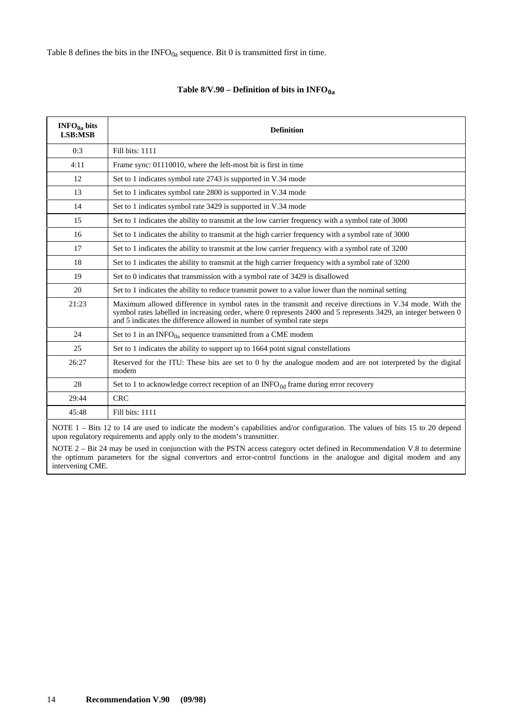Table 8 defines the bits in the  $INFO<sub>0a</sub>$  sequence. Bit 0 is transmitted first in time.

| INFO <sub>0a</sub> bits<br><b>LSB:MSB</b> | <b>Definition</b>                                                                                                                                                                                                                                                                                   |
|-------------------------------------------|-----------------------------------------------------------------------------------------------------------------------------------------------------------------------------------------------------------------------------------------------------------------------------------------------------|
| 0:3                                       | Fill bits: 1111                                                                                                                                                                                                                                                                                     |
| 4:11                                      | Frame sync: 01110010, where the left-most bit is first in time                                                                                                                                                                                                                                      |
| 12                                        | Set to 1 indicates symbol rate 2743 is supported in V.34 mode                                                                                                                                                                                                                                       |
| 13                                        | Set to 1 indicates symbol rate 2800 is supported in V.34 mode                                                                                                                                                                                                                                       |
| 14                                        | Set to 1 indicates symbol rate 3429 is supported in V.34 mode                                                                                                                                                                                                                                       |
| 15                                        | Set to 1 indicates the ability to transmit at the low carrier frequency with a symbol rate of 3000                                                                                                                                                                                                  |
| 16                                        | Set to 1 indicates the ability to transmit at the high carrier frequency with a symbol rate of 3000                                                                                                                                                                                                 |
| 17                                        | Set to 1 indicates the ability to transmit at the low carrier frequency with a symbol rate of 3200                                                                                                                                                                                                  |
| 18                                        | Set to 1 indicates the ability to transmit at the high carrier frequency with a symbol rate of 3200                                                                                                                                                                                                 |
| 19                                        | Set to 0 indicates that transmission with a symbol rate of 3429 is disallowed                                                                                                                                                                                                                       |
| 20                                        | Set to 1 indicates the ability to reduce transmit power to a value lower than the nominal setting                                                                                                                                                                                                   |
| 21:23                                     | Maximum allowed difference in symbol rates in the transmit and receive directions in V.34 mode. With the<br>symbol rates labelled in increasing order, where 0 represents 2400 and 5 represents 3429, an integer between 0<br>and 5 indicates the difference allowed in number of symbol rate steps |
| 24                                        | Set to 1 in an INFO $_{0a}$ sequence transmitted from a CME modem                                                                                                                                                                                                                                   |
| 25                                        | Set to 1 indicates the ability to support up to 1664 point signal constellations                                                                                                                                                                                                                    |
| 26:27                                     | Reserved for the ITU: These bits are set to 0 by the analogue modem and are not interpreted by the digital<br>modem                                                                                                                                                                                 |
| 28                                        | Set to 1 to acknowledge correct reception of an $INFO0d$ frame during error recovery                                                                                                                                                                                                                |
| 29:44                                     | <b>CRC</b>                                                                                                                                                                                                                                                                                          |
| 45:48                                     | Fill bits: 1111                                                                                                                                                                                                                                                                                     |

### Table  $8/V.90 -$  Definition of bits in  $INFO<sub>0a</sub>$

NOTE 1 – Bits 12 to 14 are used to indicate the modem's capabilities and/or configuration. The values of bits 15 to 20 depend upon regulatory requirements and apply only to the modem's transmitter.

NOTE 2 – Bit 24 may be used in conjunction with the PSTN access category octet defined in Recommendation V.8 to determine the optimum parameters for the signal convertors and error-control functions in the analogue and digital modem and any intervening CME.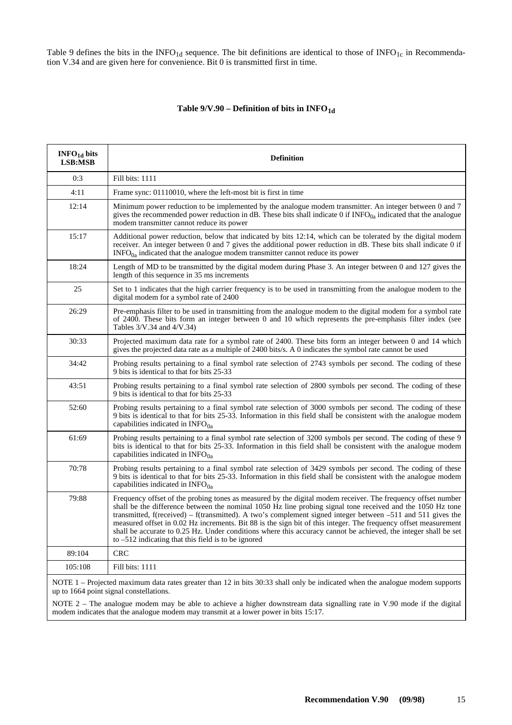Table 9 defines the bits in the INFO<sub>1d</sub> sequence. The bit definitions are identical to those of INFO<sub>1c</sub> in Recommendation V.34 and are given here for convenience. Bit 0 is transmitted first in time.

### Table 9/V.90 – Definition of bits in INFO<sub>1d</sub>

| INFO <sub>1d</sub> bits<br>LSB:MSB | <b>Definition</b>                                                                                                                                                                                                                                                                                                                                                                                                                                                                                                                                                                                                                            |
|------------------------------------|----------------------------------------------------------------------------------------------------------------------------------------------------------------------------------------------------------------------------------------------------------------------------------------------------------------------------------------------------------------------------------------------------------------------------------------------------------------------------------------------------------------------------------------------------------------------------------------------------------------------------------------------|
| 0:3                                | Fill bits: 1111                                                                                                                                                                                                                                                                                                                                                                                                                                                                                                                                                                                                                              |
| 4:11                               | Frame sync: 01110010, where the left-most bit is first in time                                                                                                                                                                                                                                                                                                                                                                                                                                                                                                                                                                               |
| 12:14                              | Minimum power reduction to be implemented by the analogue modem transmitter. An integer between 0 and 7<br>gives the recommended power reduction in dB. These bits shall indicate 0 if $INFO0a$ indicated that the analogue<br>modem transmitter cannot reduce its power                                                                                                                                                                                                                                                                                                                                                                     |
| 15:17                              | Additional power reduction, below that indicated by bits 12:14, which can be tolerated by the digital modem<br>receiver. An integer between 0 and 7 gives the additional power reduction in dB. These bits shall indicate 0 if<br>$INFO0a$ indicated that the analogue modem transmitter cannot reduce its power                                                                                                                                                                                                                                                                                                                             |
| 18:24                              | Length of MD to be transmitted by the digital modem during Phase 3. An integer between 0 and 127 gives the<br>length of this sequence in 35 ms increments                                                                                                                                                                                                                                                                                                                                                                                                                                                                                    |
| 25                                 | Set to 1 indicates that the high carrier frequency is to be used in transmitting from the analogue modem to the<br>digital modem for a symbol rate of 2400                                                                                                                                                                                                                                                                                                                                                                                                                                                                                   |
| 26:29                              | Pre-emphasis filter to be used in transmitting from the analogue modem to the digital modem for a symbol rate<br>of 2400. These bits form an integer between 0 and 10 which represents the pre-emphasis filter index (see<br>Tables 3/V.34 and 4/V.34)                                                                                                                                                                                                                                                                                                                                                                                       |
| 30:33                              | Projected maximum data rate for a symbol rate of 2400. These bits form an integer between 0 and 14 which<br>gives the projected data rate as a multiple of 2400 bits/s. A 0 indicates the symbol rate cannot be used                                                                                                                                                                                                                                                                                                                                                                                                                         |
| 34:42                              | Probing results pertaining to a final symbol rate selection of 2743 symbols per second. The coding of these<br>9 bits is identical to that for bits 25-33                                                                                                                                                                                                                                                                                                                                                                                                                                                                                    |
| 43:51                              | Probing results pertaining to a final symbol rate selection of 2800 symbols per second. The coding of these<br>9 bits is identical to that for bits 25-33                                                                                                                                                                                                                                                                                                                                                                                                                                                                                    |
| 52:60                              | Probing results pertaining to a final symbol rate selection of 3000 symbols per second. The coding of these<br>9 bits is identical to that for bits 25-33. Information in this field shall be consistent with the analogue modem<br>capabilities indicated in $INFO0a$                                                                                                                                                                                                                                                                                                                                                                       |
| 61:69                              | Probing results pertaining to a final symbol rate selection of 3200 symbols per second. The coding of these 9<br>bits is identical to that for bits 25-33. Information in this field shall be consistent with the analogue modem<br>capabilities indicated in $INFO0a$                                                                                                                                                                                                                                                                                                                                                                       |
| 70:78                              | Probing results pertaining to a final symbol rate selection of 3429 symbols per second. The coding of these<br>9 bits is identical to that for bits 25-33. Information in this field shall be consistent with the analogue modem<br>capabilities indicated in INFO <sub>0a</sub>                                                                                                                                                                                                                                                                                                                                                             |
| 79:88                              | Frequency offset of the probing tones as measured by the digital modem receiver. The frequency offset number<br>shall be the difference between the nominal 1050 Hz line probing signal tone received and the 1050 Hz tone<br>transmitted, f(received) – f(transmitted). A two's complement signed integer between $-511$ and $511$ gives the<br>measured offset in 0.02 Hz increments. Bit 88 is the sign bit of this integer. The frequency offset measurement<br>shall be accurate to 0.25 Hz. Under conditions where this accuracy cannot be achieved, the integer shall be set<br>to $-512$ indicating that this field is to be ignored |
| 89:104                             | <b>CRC</b>                                                                                                                                                                                                                                                                                                                                                                                                                                                                                                                                                                                                                                   |
| 105:108                            | Fill bits: 1111                                                                                                                                                                                                                                                                                                                                                                                                                                                                                                                                                                                                                              |
|                                    | NOTE 1 – Projected maximum data rates greater than 12 in bits 30:33 shall only be indicated when the analogue modem supports<br>un to 1664 noint signal constallations                                                                                                                                                                                                                                                                                                                                                                                                                                                                       |

up to 1664 point signal constellations. NOTE 2 – The analogue modem may be able to achieve a higher downstream data signalling rate in V.90 mode if the digital modem indicates that the analogue modem may transmit at a lower power in bits 15:17.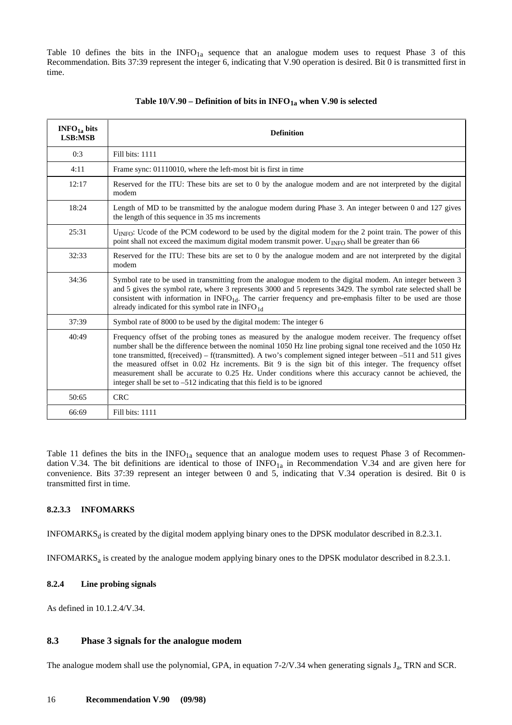<span id="page-23-0"></span>Table 10 defines the bits in the  $INFO<sub>1a</sub>$  sequence that an analogue modem uses to request Phase 3 of this Recommendation. Bits 37:39 represent the integer 6, indicating that V.90 operation is desired. Bit 0 is transmitted first in time.

| INFO <sub>1a</sub> bits<br><b>LSB:MSB</b> | <b>Definition</b>                                                                                                                                                                                                                                                                                                                                                                                                                                                                                                                                                                                                                        |
|-------------------------------------------|------------------------------------------------------------------------------------------------------------------------------------------------------------------------------------------------------------------------------------------------------------------------------------------------------------------------------------------------------------------------------------------------------------------------------------------------------------------------------------------------------------------------------------------------------------------------------------------------------------------------------------------|
| 0:3                                       | Fill bits: 1111                                                                                                                                                                                                                                                                                                                                                                                                                                                                                                                                                                                                                          |
| 4:11                                      | Frame sync: 01110010, where the left-most bit is first in time                                                                                                                                                                                                                                                                                                                                                                                                                                                                                                                                                                           |
| 12:17                                     | Reserved for the ITU: These bits are set to 0 by the analogue modem and are not interpreted by the digital<br>modem                                                                                                                                                                                                                                                                                                                                                                                                                                                                                                                      |
| 18:24                                     | Length of MD to be transmitted by the analogue modem during Phase 3. An integer between 0 and 127 gives<br>the length of this sequence in 35 ms increments                                                                                                                                                                                                                                                                                                                                                                                                                                                                               |
| 25:31                                     | $U_{\text{INFO}}$ : Ucode of the PCM codeword to be used by the digital modem for the 2 point train. The power of this<br>point shall not exceed the maximum digital modem transmit power. U <sub>INFO</sub> shall be greater than 66                                                                                                                                                                                                                                                                                                                                                                                                    |
| 32:33                                     | Reserved for the ITU: These bits are set to 0 by the analogue modem and are not interpreted by the digital<br>modem                                                                                                                                                                                                                                                                                                                                                                                                                                                                                                                      |
| 34:36                                     | Symbol rate to be used in transmitting from the analogue modem to the digital modem. An integer between 3<br>and 5 gives the symbol rate, where 3 represents 3000 and 5 represents 3429. The symbol rate selected shall be<br>consistent with information in $INFO1d$ . The carrier frequency and pre-emphasis filter to be used are those<br>already indicated for this symbol rate in INFO <sub>1d</sub>                                                                                                                                                                                                                               |
| 37:39                                     | Symbol rate of 8000 to be used by the digital modem: The integer 6                                                                                                                                                                                                                                                                                                                                                                                                                                                                                                                                                                       |
| 40:49                                     | Frequency offset of the probing tones as measured by the analogue modem receiver. The frequency offset<br>number shall be the difference between the nominal 1050 Hz line probing signal tone received and the 1050 Hz<br>tone transmitted, f(received) – f(transmitted). A two's complement signed integer between –511 and 511 gives<br>the measured offset in 0.02 Hz increments. Bit 9 is the sign bit of this integer. The frequency offset<br>measurement shall be accurate to 0.25 Hz. Under conditions where this accuracy cannot be achieved, the<br>integer shall be set to $-512$ indicating that this field is to be ignored |
| 50:65                                     | <b>CRC</b>                                                                                                                                                                                                                                                                                                                                                                                                                                                                                                                                                                                                                               |
| 66:69                                     | Fill bits: 1111                                                                                                                                                                                                                                                                                                                                                                                                                                                                                                                                                                                                                          |

#### Table  $10/V.90$  – Definition of bits in INFO<sub>1a</sub> when V.90 is selected

Table 11 defines the bits in the  $INFO<sub>1a</sub>$  sequence that an analogue modem uses to request Phase 3 of Recommendation V.34. The bit definitions are identical to those of  $INFO<sub>1a</sub>$  in Recommendation V.34 and are given here for convenience. Bits 37:39 represent an integer between 0 and 5, indicating that V.34 operation is desired. Bit 0 is transmitted first in time.

### **8.2.3.3 INFOMARKS**

INFOMARKS $_d$  is created by the digital modem applying binary ones to the DPSK modulator described in 8.2.3.1.

INFOMARKSa is created by the analogue modem applying binary ones to the DPSK modulator described in 8.2.3.1.

#### **8.2.4 Line probing signals**

As defined in 10.1.2.4/V.34.

#### **8.3 Phase 3 signals for the analogue modem**

The analogue modem shall use the polynomial, GPA, in equation  $7-2/\sqrt{0.34}$  when generating signals  $J_a$ , TRN and SCR.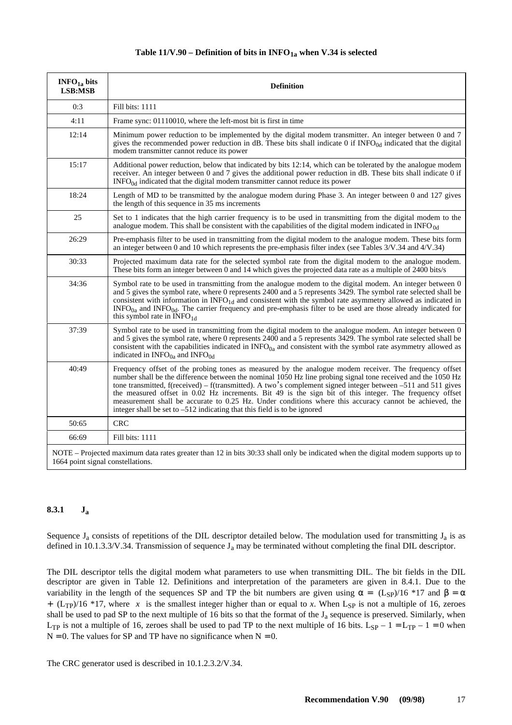<span id="page-24-0"></span>

| INFO <sub>1a</sub> bits<br>LSB:MSB | <b>Definition</b>                                                                                                                                                                                                                                                                                                                                                                                                                                                                                                                                                                                                                         |
|------------------------------------|-------------------------------------------------------------------------------------------------------------------------------------------------------------------------------------------------------------------------------------------------------------------------------------------------------------------------------------------------------------------------------------------------------------------------------------------------------------------------------------------------------------------------------------------------------------------------------------------------------------------------------------------|
| 0:3                                | Fill bits: 1111                                                                                                                                                                                                                                                                                                                                                                                                                                                                                                                                                                                                                           |
| 4:11                               | Frame sync: 01110010, where the left-most bit is first in time                                                                                                                                                                                                                                                                                                                                                                                                                                                                                                                                                                            |
| 12:14                              | Minimum power reduction to be implemented by the digital modem transmitter. An integer between 0 and 7<br>gives the recommended power reduction in dB. These bits shall indicate 0 if $INFO0d$ indicated that the digital<br>modem transmitter cannot reduce its power                                                                                                                                                                                                                                                                                                                                                                    |
| 15:17                              | Additional power reduction, below that indicated by bits 12:14, which can be tolerated by the analogue modem<br>receiver. An integer between 0 and 7 gives the additional power reduction in dB. These bits shall indicate 0 if<br>$INFO0d$ indicated that the digital modem transmitter cannot reduce its power                                                                                                                                                                                                                                                                                                                          |
| 18:24                              | Length of MD to be transmitted by the analogue modem during Phase 3. An integer between 0 and 127 gives<br>the length of this sequence in 35 ms increments                                                                                                                                                                                                                                                                                                                                                                                                                                                                                |
| 25                                 | Set to 1 indicates that the high carrier frequency is to be used in transmitting from the digital modem to the<br>analogue modem. This shall be consistent with the capabilities of the digital modem indicated in INFO $_{0d}$                                                                                                                                                                                                                                                                                                                                                                                                           |
| 26:29                              | Pre-emphasis filter to be used in transmitting from the digital modem to the analogue modem. These bits form<br>an integer between 0 and 10 which represents the pre-emphasis filter index (see Tables 3/V.34 and 4/V.34)                                                                                                                                                                                                                                                                                                                                                                                                                 |
| 30:33                              | Projected maximum data rate for the selected symbol rate from the digital modem to the analogue modem.<br>These bits form an integer between 0 and 14 which gives the projected data rate as a multiple of 2400 bits/s                                                                                                                                                                                                                                                                                                                                                                                                                    |
| 34:36                              | Symbol rate to be used in transmitting from the analogue modem to the digital modem. An integer between 0<br>and 5 gives the symbol rate, where 0 represents 2400 and a 5 represents 3429. The symbol rate selected shall be<br>consistent with information in INFO <sub>1d</sub> and consistent with the symbol rate asymmetry allowed as indicated in<br>$INFO0a$ and $INFO0d$ . The carrier frequency and pre-emphasis filter to be used are those already indicated for<br>this symbol rate in INFO <sub>1d</sub>                                                                                                                     |
| 37:39                              | Symbol rate to be used in transmitting from the digital modem to the analogue modem. An integer between 0<br>and 5 gives the symbol rate, where 0 represents 2400 and a 5 represents 3429. The symbol rate selected shall be<br>consistent with the capabilities indicated in $INFO0a$ and consistent with the symbol rate asymmetry allowed as<br>indicated in $INFO0a$ and $INFO0d$                                                                                                                                                                                                                                                     |
| 40:49                              | Frequency offset of the probing tones as measured by the analogue modem receiver. The frequency offset<br>number shall be the difference between the nominal 1050 Hz line probing signal tone received and the 1050 Hz<br>tone transmitted, f(received) – f(transmitted). A two's complement signed integer between –511 and 511 gives<br>the measured offset in 0.02 Hz increments. Bit 49 is the sign bit of this integer. The frequency offset<br>measurement shall be accurate to 0.25 Hz. Under conditions where this accuracy cannot be achieved, the<br>integer shall be set to $-512$ indicating that this field is to be ignored |
| 50:65                              | <b>CRC</b>                                                                                                                                                                                                                                                                                                                                                                                                                                                                                                                                                                                                                                |
| 66:69                              | Fill bits: 1111                                                                                                                                                                                                                                                                                                                                                                                                                                                                                                                                                                                                                           |
| 1664 point signal constellations.  | NOTE – Projected maximum data rates greater than 12 in bits 30:33 shall only be indicated when the digital modem supports up to                                                                                                                                                                                                                                                                                                                                                                                                                                                                                                           |

### **8.3.1 Ja**

Sequence  $J_a$  consists of repetitions of the DIL descriptor detailed below. The modulation used for transmitting  $J_a$  is as defined in 10.1.3.3/V.34. Transmission of sequence  $J_a$  may be terminated without completing the final DIL descriptor.

The DIL descriptor tells the digital modem what parameters to use when transmitting DIL. The bit fields in the DIL descriptor are given in Table 12. Definitions and interpretation of the parameters are given in 8.4.1. Due to the variability in the length of the sequences SP and TP the bit numbers are given using  $\alpha = \frac{\zeta(L_{\text{SP}})}{16}$  and  $\beta = \alpha$  $+\lceil (L_{TP})/16 \rceil*17$ , where  $\lceil x \rceil$  is the smallest integer higher than or equal to *x*. When L<sub>SP</sub> is not a multiple of 16, zeroes shall be used to pad SP to the next multiple of 16 bits so that the format of the  $J_a$  sequence is preserved. Similarly, when L<sub>TP</sub> is not a multiple of 16, zeroes shall be used to pad TP to the next multiple of 16 bits. L<sub>SP</sub> – 1 = L<sub>TP</sub> – 1 = 0 when  $N = 0$ . The values for SP and TP have no significance when  $N = 0$ .

The CRC generator used is described in 10.1.2.3.2/V.34.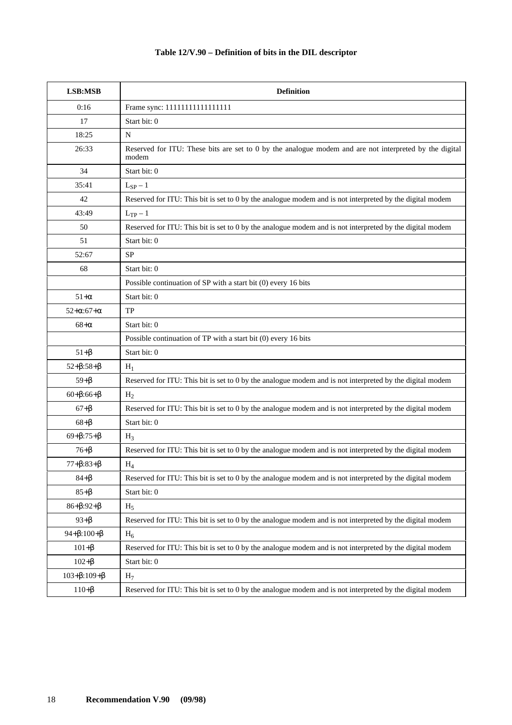### **Table 12/V.90 – Definition of bits in the DIL descriptor**

| LSB:MSB                    | <b>Definition</b>                                                                                               |
|----------------------------|-----------------------------------------------------------------------------------------------------------------|
| 0:16                       | Frame sync: 11111111111111111                                                                                   |
| 17                         | Start bit: 0                                                                                                    |
| 18:25                      | N                                                                                                               |
| 26:33                      | Reserved for ITU: These bits are set to 0 by the analogue modem and are not interpreted by the digital<br>modem |
| 34                         | Start bit: 0                                                                                                    |
| 35:41                      | $L_{SP} - 1$                                                                                                    |
| 42                         | Reserved for ITU: This bit is set to 0 by the analogue modem and is not interpreted by the digital modem        |
| 43:49                      | $L_{TP} - 1$                                                                                                    |
| 50                         | Reserved for ITU: This bit is set to 0 by the analogue modem and is not interpreted by the digital modem        |
| 51                         | Start bit: 0                                                                                                    |
| 52:67                      | <b>SP</b>                                                                                                       |
| 68                         | Start bit: 0                                                                                                    |
|                            | Possible continuation of SP with a start bit (0) every 16 bits                                                  |
| $51+\alpha$                | Start bit: 0                                                                                                    |
| $52 + \alpha:67 + \alpha$  | <b>TP</b>                                                                                                       |
| $68+\alpha$                | Start bit: 0                                                                                                    |
|                            | Possible continuation of TP with a start bit (0) every 16 bits                                                  |
| $51 + \beta$               | Start bit: 0                                                                                                    |
| $52 + \beta:58 + \beta$    | $H_1$                                                                                                           |
| $59 + \beta$               | Reserved for ITU: This bit is set to 0 by the analogue modem and is not interpreted by the digital modem        |
| $60 + \beta:66 + \beta$    | H <sub>2</sub>                                                                                                  |
| $67 + \beta$               | Reserved for ITU: This bit is set to 0 by the analogue modem and is not interpreted by the digital modem        |
| $68 + \beta$               | Start bit: 0                                                                                                    |
| $69 + \beta:75 + \beta$    | $H_3$                                                                                                           |
| $76 + \beta$               | Reserved for ITU: This bit is set to 0 by the analogue modem and is not interpreted by the digital modem        |
| $_{77+\beta:83+\beta}$     | $H_4$                                                                                                           |
| $84 + \beta$               | Reserved for ITU: This bit is set to 0 by the analogue modem and is not interpreted by the digital modem        |
| $85+\beta$                 | Start bit: 0                                                                                                    |
| $86 + \beta: 92 + \beta$   | $H_5$                                                                                                           |
| $93 + \beta$               | Reserved for ITU: This bit is set to 0 by the analogue modem and is not interpreted by the digital modem        |
| $94 + \beta: 100 + \beta$  | $H_6$                                                                                                           |
| $101 + \beta$              | Reserved for ITU: This bit is set to 0 by the analogue modem and is not interpreted by the digital modem        |
| $102 + \beta$              | Start bit: 0                                                                                                    |
| $103 + \beta: 109 + \beta$ | H <sub>7</sub>                                                                                                  |
| $110 + \beta$              | Reserved for ITU: This bit is set to 0 by the analogue modem and is not interpreted by the digital modem        |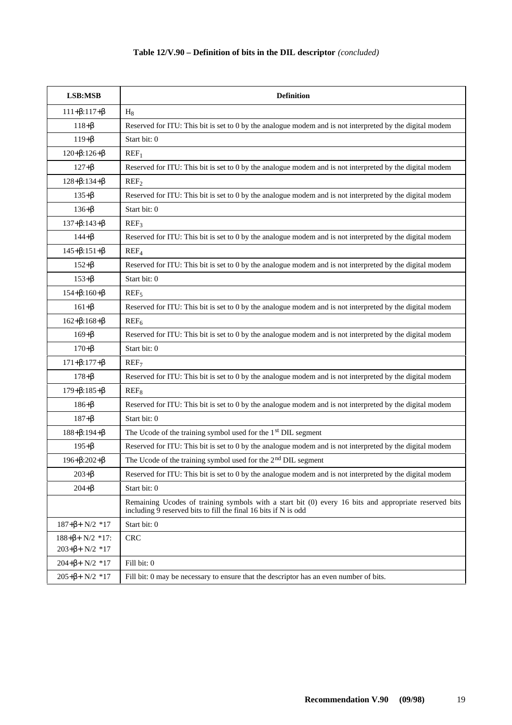| LSB:MSB                                                                           | <b>Definition</b>                                                                                                                                                        |
|-----------------------------------------------------------------------------------|--------------------------------------------------------------------------------------------------------------------------------------------------------------------------|
| $111 + \beta: 117 + \beta$                                                        | $H_8$                                                                                                                                                                    |
| $118 + \beta$                                                                     | Reserved for ITU: This bit is set to 0 by the analogue modem and is not interpreted by the digital modem                                                                 |
| $119 + \beta$                                                                     | Start bit: 0                                                                                                                                                             |
| $120 + \beta: 126 + \beta$                                                        | REF <sub>1</sub>                                                                                                                                                         |
| $127 + \beta$                                                                     | Reserved for ITU: This bit is set to 0 by the analogue modem and is not interpreted by the digital modem                                                                 |
| $128 + \beta: 134 + \beta$                                                        | REF <sub>2</sub>                                                                                                                                                         |
| $135 + \beta$                                                                     | Reserved for ITU: This bit is set to 0 by the analogue modem and is not interpreted by the digital modem                                                                 |
| $136 + \beta$                                                                     | Start bit: 0                                                                                                                                                             |
| $137 + \beta: 143 + \beta$                                                        | REF <sub>3</sub>                                                                                                                                                         |
| $144 + \beta$                                                                     | Reserved for ITU: This bit is set to 0 by the analogue modem and is not interpreted by the digital modem                                                                 |
| $145 + \beta: 151 + \beta$                                                        | REF <sub>4</sub>                                                                                                                                                         |
| $152 + \beta$                                                                     | Reserved for ITU: This bit is set to 0 by the analogue modem and is not interpreted by the digital modem                                                                 |
| $153 + \beta$                                                                     | Start bit: 0                                                                                                                                                             |
| $154 + \beta: 160 + \beta$                                                        | $REF_{5}$                                                                                                                                                                |
| $161 + \beta$                                                                     | Reserved for ITU: This bit is set to 0 by the analogue modem and is not interpreted by the digital modem                                                                 |
| $162 + \beta: 168 + \beta$                                                        | $REF_{6}$                                                                                                                                                                |
| $169 + \beta$                                                                     | Reserved for ITU: This bit is set to 0 by the analogue modem and is not interpreted by the digital modem                                                                 |
| $170 + \beta$                                                                     | Start bit: 0                                                                                                                                                             |
| $171 + \beta: 177 + \beta$                                                        | REF <sub>7</sub>                                                                                                                                                         |
| $178 + \beta$                                                                     | Reserved for ITU: This bit is set to 0 by the analogue modem and is not interpreted by the digital modem                                                                 |
| $179 + \beta: 185 + \beta$                                                        | REF <sub>8</sub>                                                                                                                                                         |
| $186 + \beta$                                                                     | Reserved for ITU: This bit is set to 0 by the analogue modem and is not interpreted by the digital modem                                                                 |
| $187 + \beta$                                                                     | Start bit: 0                                                                                                                                                             |
| $188 + \beta: 194 + \beta$                                                        | The Ucode of the training symbol used for the 1 <sup>st</sup> DIL segment                                                                                                |
| $195 + \beta$                                                                     | Reserved for ITU: This bit is set to 0 by the analogue modem and is not interpreted by the digital modem                                                                 |
| $196 + \beta: 202 + \beta$                                                        | The Ucode of the training symbol used for the $2nd DIL$ segment                                                                                                          |
| $203 + \beta$                                                                     | Reserved for ITU: This bit is set to 0 by the analogue modem and is not interpreted by the digital modem                                                                 |
| $204 + \beta$                                                                     | Start bit: 0                                                                                                                                                             |
|                                                                                   | Remaining Ucodes of training symbols with a start bit (0) every 16 bits and appropriate reserved bits<br>including 9 reserved bits to fill the final 16 bits if N is odd |
| $187 + \beta + \lfloor N/2 \rfloor$ *17                                           | Start bit: 0                                                                                                                                                             |
| $188 + \beta + \left[N/2\right] * 17$ :<br>$203 + \beta + \lceil N/2 \rceil * 17$ | <b>CRC</b>                                                                                                                                                               |
| $204 + \beta + \lceil N/2 \rceil * 17$                                            | Fill bit: 0                                                                                                                                                              |
| $205 + \beta + \lceil N/2 \rceil * 17$                                            | Fill bit: 0 may be necessary to ensure that the descriptor has an even number of bits.                                                                                   |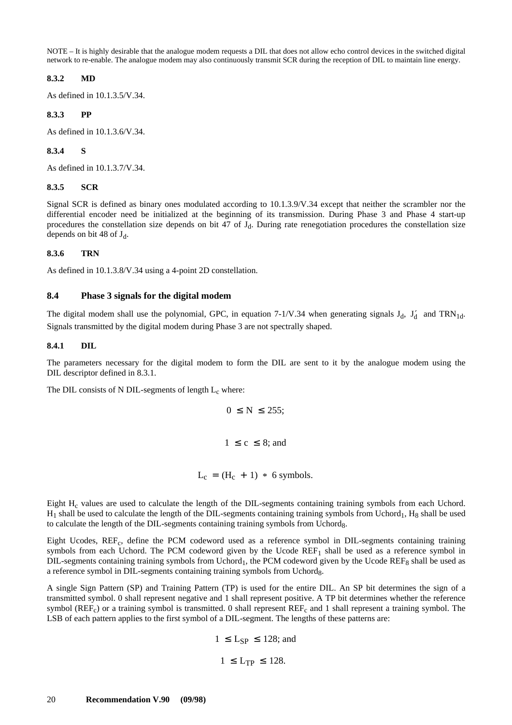<span id="page-27-0"></span>NOTE – It is highly desirable that the analogue modem requests a DIL that does not allow echo control devices in the switched digital network to re-enable. The analogue modem may also continuously transmit SCR during the reception of DIL to maintain line energy.

#### **8.3.2 MD**

As defined in 10.1.3.5/V.34.

### **8.3.3 PP**

As defined in 10.1.3.6/V.34.

#### **8.3.4 S**

As defined in 10.1.3.7/V.34.

#### **8.3.5 SCR**

Signal SCR is defined as binary ones modulated according to 10.1.3.9/V.34 except that neither the scrambler nor the differential encoder need be initialized at the beginning of its transmission. During Phase 3 and Phase 4 start-up procedures the constellation size depends on bit 47 of  $J_d$ . During rate renegotiation procedures the constellation size depends on bit 48 of  $J_d$ .

#### **8.3.6 TRN**

As defined in 10.1.3.8/V.34 using a 4-point 2D constellation.

### **8.4 Phase 3 signals for the digital modem**

The digital modem shall use the polynomial, GPC, in equation  $7-1/V.34$  when generating signals  $J_d$ ,  $J'_d$  and  $TRN_{1d}$ . Signals transmitted by the digital modem during Phase 3 are not spectrally shaped.

#### **8.4.1 DIL**

The parameters necessary for the digital modem to form the DIL are sent to it by the analogue modem using the DIL descriptor defined in 8.3.1.

The DIL consists of N DIL-segments of length  $L_c$  where:

$$
0 \le N \le 255;
$$
  

$$
1 \le c \le 8; \text{ and}
$$
  

$$
L_c = (H_c + 1) * 6 \text{ symbols.}
$$

Eight H<sub>c</sub> values are used to calculate the length of the DIL-segments containing training symbols from each Uchord.  $H_1$  shall be used to calculate the length of the DIL-segments containing training symbols from Uchord<sub>1</sub>,  $H_8$  shall be used to calculate the length of the DIL-segments containing training symbols from Uchord<sub>8</sub>.

Eight Ucodes, REF<sub>c</sub>, define the PCM codeword used as a reference symbol in DIL-segments containing training symbols from each Uchord. The PCM codeword given by the Ucode  $REF<sub>1</sub>$  shall be used as a reference symbol in DIL-segments containing training symbols from Uchord<sub>1</sub>, the PCM codeword given by the Ucode REF<sub>8</sub> shall be used as a reference symbol in DIL-segments containing training symbols from Uchord<sub>8</sub>.

A single Sign Pattern (SP) and Training Pattern (TP) is used for the entire DIL. An SP bit determines the sign of a transmitted symbol. 0 shall represent negative and 1 shall represent positive. A TP bit determines whether the reference symbol (REF<sub>c</sub>) or a training symbol is transmitted. 0 shall represent REF<sub>c</sub> and 1 shall represent a training symbol. The LSB of each pattern applies to the first symbol of a DIL-segment. The lengths of these patterns are:

$$
1 \le L_{SP} \le 128; \text{ and}
$$
  

$$
1 \le L_{TP} \le 128.
$$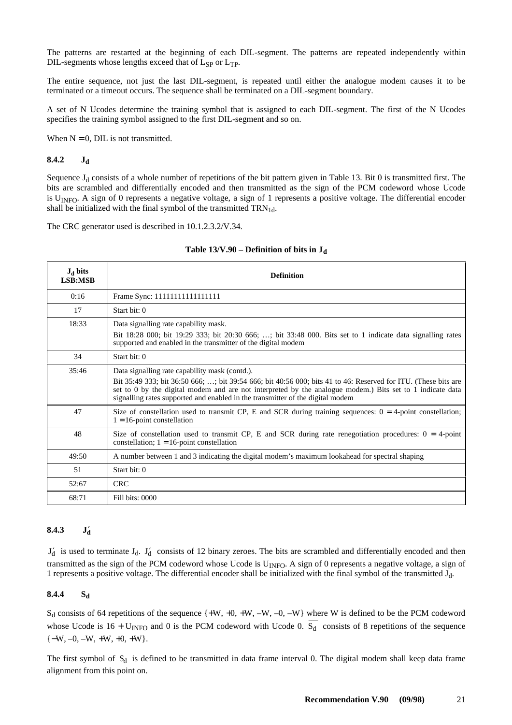<span id="page-28-0"></span>The patterns are restarted at the beginning of each DIL-segment. The patterns are repeated independently within DIL-segments whose lengths exceed that of  $L_{SP}$  or  $L_{TP}$ .

The entire sequence, not just the last DIL-segment, is repeated until either the analogue modem causes it to be terminated or a timeout occurs. The sequence shall be terminated on a DIL-segment boundary.

A set of N Ucodes determine the training symbol that is assigned to each DIL-segment. The first of the N Ucodes specifies the training symbol assigned to the first DIL-segment and so on.

When  $N = 0$ , DIL is not transmitted.

#### **8.4.2 Jd**

Sequence  $J_d$  consists of a whole number of repetitions of the bit pattern given in Table 13. Bit 0 is transmitted first. The bits are scrambled and differentially encoded and then transmitted as the sign of the PCM codeword whose Ucode is U<sub>INFO</sub>. A sign of 0 represents a negative voltage, a sign of 1 represents a positive voltage. The differential encoder shall be initialized with the final symbol of the transmitted  $TRN_{1d}$ .

The CRC generator used is described in 10.1.2.3.2/V.34.

| $J_d$ bits<br><b>LSB:MSB</b> | <b>Definition</b>                                                                                                                                                                                                                                                                                                                                               |
|------------------------------|-----------------------------------------------------------------------------------------------------------------------------------------------------------------------------------------------------------------------------------------------------------------------------------------------------------------------------------------------------------------|
| 0:16                         |                                                                                                                                                                                                                                                                                                                                                                 |
| 17                           | Start bit: 0                                                                                                                                                                                                                                                                                                                                                    |
| 18:33                        | Data signalling rate capability mask.<br>Bit 18:28 000; bit 19:29 333; bit 20:30 666; ; bit 33:48 000. Bits set to 1 indicate data signalling rates<br>supported and enabled in the transmitter of the digital modem                                                                                                                                            |
| 34                           | Start bit: 0                                                                                                                                                                                                                                                                                                                                                    |
| 35:46                        | Data signalling rate capability mask (contd.).<br>Bit 35:49 333; bit 36:50 666; ; bit 39:54 666; bit 40:56 000; bits 41 to 46: Reserved for ITU. (These bits are<br>set to 0 by the digital modem and are not interpreted by the analogue modem.) Bits set to 1 indicate data<br>signalling rates supported and enabled in the transmitter of the digital modem |
| 47                           | Size of constellation used to transmit CP, E and SCR during training sequences: $0 = 4$ -point constellation;<br>$1 = 16$ -point constellation                                                                                                                                                                                                                  |
| 48                           | Size of constellation used to transmit CP, E and SCR during rate renegotiation procedures: $0 = 4$ -point<br>constellation; $1 = 16$ -point constellation                                                                                                                                                                                                       |
| 49:50                        | A number between 1 and 3 indicating the digital modem's maximum lookahead for spectral shaping                                                                                                                                                                                                                                                                  |
| 51                           | Start bit: 0                                                                                                                                                                                                                                                                                                                                                    |
| 52:67                        | <b>CRC</b>                                                                                                                                                                                                                                                                                                                                                      |
| 68:71                        | Fill bits: 0000                                                                                                                                                                                                                                                                                                                                                 |

#### Table 13/V.90 – Definition of bits in J<sub>d</sub>

#### **8.4.3 J**′  $J_d'$

 $J'_d$  is used to terminate  $J_d$ .  $J'_d$  consists of 12 binary zeroes. The bits are scrambled and differentially encoded and then transmitted as the sign of the PCM codeword whose Ucode is U<sub>INFO</sub>. A sign of 0 represents a negative voltage, a sign of 1 represents a positive voltage. The differential encoder shall be initialized with the final symbol of the transmitted Jd.

#### 8.4.4 S<sub>d</sub>

 $S_d$  consists of 64 repetitions of the sequence  $\{+W, +0, +W, -W, -0, -W\}$  where W is defined to be the PCM codeword whose Ucode is 16 + U<sub>INFO</sub> and 0 is the PCM codeword with Ucode 0.  $\overline{S_d}$  consists of 8 repetitions of the sequence  $\{-W, -0, -W, +W, +0, +W\}.$ 

The first symbol of  $S_d$  is defined to be transmitted in data frame interval 0. The digital modem shall keep data frame alignment from this point on.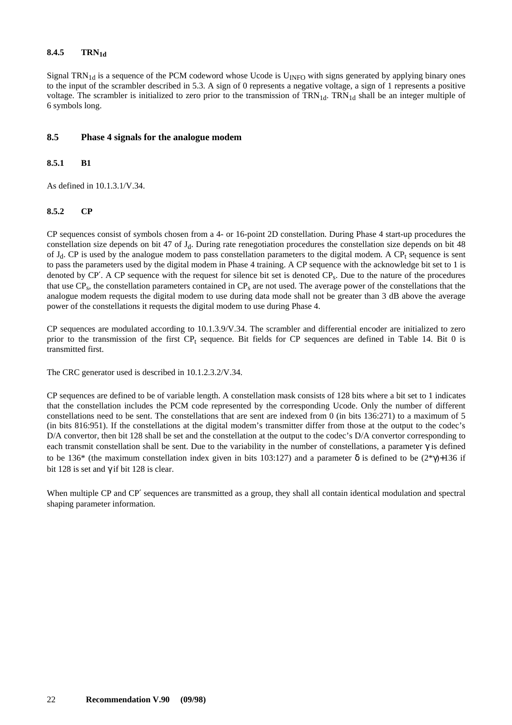### <span id="page-29-0"></span>8.4.5 TRN<sub>1d</sub>

Signal TRN<sub>1d</sub> is a sequence of the PCM codeword whose Ucode is  $U_{\text{INFO}}$  with signs generated by applying binary ones to the input of the scrambler described in 5.3. A sign of 0 represents a negative voltage, a sign of 1 represents a positive voltage. The scrambler is initialized to zero prior to the transmission of  $TRN_{1d}$ .  $TRN_{1d}$  shall be an integer multiple of 6 symbols long.

#### **8.5 Phase 4 signals for the analogue modem**

#### **8.5.1 B1**

As defined in 10.1.3.1/V.34.

#### **8.5.2 CP**

CP sequences consist of symbols chosen from a 4- or 16-point 2D constellation. During Phase 4 start-up procedures the constellation size depends on bit 47 of J<sub>d</sub>. During rate renegotiation procedures the constellation size depends on bit 48 of  $J_d$ . CP is used by the analogue modem to pass constellation parameters to the digital modem. A CP<sub>t</sub> sequence is sent to pass the parameters used by the digital modem in Phase 4 training. A CP sequence with the acknowledge bit set to 1 is denoted by CP'. A CP sequence with the request for silence bit set is denoted CP<sub>s</sub>. Due to the nature of the procedures that use  $CP_s$ , the constellation parameters contained in  $CP_s$  are not used. The average power of the constellations that the analogue modem requests the digital modem to use during data mode shall not be greater than 3 dB above the average power of the constellations it requests the digital modem to use during Phase 4.

CP sequences are modulated according to 10.1.3.9/V.34. The scrambler and differential encoder are initialized to zero prior to the transmission of the first  $CP<sub>t</sub>$  sequence. Bit fields for  $CP$  sequences are defined in Table 14. Bit 0 is transmitted first.

The CRC generator used is described in 10.1.2.3.2/V.34.

CP sequences are defined to be of variable length. A constellation mask consists of 128 bits where a bit set to 1 indicates that the constellation includes the PCM code represented by the corresponding Ucode. Only the number of different constellations need to be sent. The constellations that are sent are indexed from 0 (in bits 136:271) to a maximum of 5 (in bits 816:951). If the constellations at the digital modem's transmitter differ from those at the output to the codec's D/A convertor, then bit 128 shall be set and the constellation at the output to the codec's D/A convertor corresponding to each transmit constellation shall be sent. Due to the variability in the number of constellations, a parameter  $\gamma$  is defined to be 136<sup>\*</sup> (the maximum constellation index given in bits 103:127) and a parameter  $\delta$  is defined to be (2<sup>\*</sup>γ)+136 if bit 128 is set and  $\gamma$  if bit 128 is clear.

When multiple CP and CP′ sequences are transmitted as a group, they shall all contain identical modulation and spectral shaping parameter information.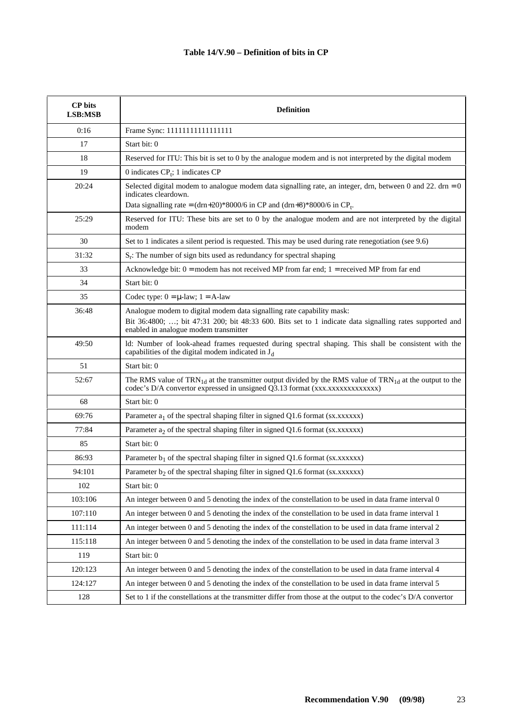### **Table 14/V.90 – Definition of bits in CP**

| <b>CP</b> bits<br>LSB:MSB | <b>Definition</b>                                                                                                                                                                                                                |  |
|---------------------------|----------------------------------------------------------------------------------------------------------------------------------------------------------------------------------------------------------------------------------|--|
| 0:16                      | Frame Sync: 11111111111111111                                                                                                                                                                                                    |  |
| 17                        | Start bit: 0                                                                                                                                                                                                                     |  |
| 18                        | Reserved for ITU: This bit is set to 0 by the analogue modem and is not interpreted by the digital modem                                                                                                                         |  |
| 19                        | 0 indicates $CPt$ ; 1 indicates CP                                                                                                                                                                                               |  |
| 20:24                     | Selected digital modem to analogue modem data signalling rate, an integer, drn, between 0 and 22. $dm = 0$<br>indicates cleardown.<br>Data signalling rate = $(drn+20)$ *8000/6 in CP and $(drn+8)$ *8000/6 in CP <sub>t</sub> . |  |
| 25:29                     | Reserved for ITU: These bits are set to 0 by the analogue modem and are not interpreted by the digital<br>modem                                                                                                                  |  |
| 30                        | Set to 1 indicates a silent period is requested. This may be used during rate renegotiation (see 9.6)                                                                                                                            |  |
| 31:32                     | $S_r$ : The number of sign bits used as redundancy for spectral shaping                                                                                                                                                          |  |
| 33                        | Acknowledge bit: $0 =$ modem has not received MP from far end; $1 =$ received MP from far end                                                                                                                                    |  |
| 34                        | Start bit: 0                                                                                                                                                                                                                     |  |
| 35                        | Codec type: $0 = \mu$ -law; $1 = A$ -law                                                                                                                                                                                         |  |
| 36:48                     | Analogue modem to digital modem data signalling rate capability mask:<br>Bit 36:4800; ; bit 47:31 200; bit 48:33 600. Bits set to 1 indicate data signalling rates supported and<br>enabled in analogue modem transmitter        |  |
| 49:50                     | ld: Number of look-ahead frames requested during spectral shaping. This shall be consistent with the<br>capabilities of the digital modem indicated in J <sub>d</sub>                                                            |  |
| 51                        | Start bit: 0                                                                                                                                                                                                                     |  |
| 52:67                     | The RMS value of TRN <sub>1d</sub> at the transmitter output divided by the RMS value of TRN <sub>1d</sub> at the output to the                                                                                                  |  |
| 68                        | Start bit: 0                                                                                                                                                                                                                     |  |
| 69:76                     | Parameter $a_1$ of the spectral shaping filter in signed Q1.6 format (sx.xxxxxx)                                                                                                                                                 |  |
| 77:84                     | Parameter $a_2$ of the spectral shaping filter in signed Q1.6 format ( $sx.xxxxx$ )                                                                                                                                              |  |
| 85                        | Start bit: 0                                                                                                                                                                                                                     |  |
| 86:93                     | Parameter $b_1$ of the spectral shaping filter in signed Q1.6 format (sx.xxxxxx)                                                                                                                                                 |  |
| 94:101                    | Parameter $b_2$ of the spectral shaping filter in signed Q1.6 format (sx.xxxxxx)                                                                                                                                                 |  |
| 102                       | Start bit: 0                                                                                                                                                                                                                     |  |
| 103:106                   | An integer between 0 and 5 denoting the index of the constellation to be used in data frame interval 0                                                                                                                           |  |
| 107:110                   | An integer between 0 and 5 denoting the index of the constellation to be used in data frame interval 1                                                                                                                           |  |
| 111:114                   | An integer between 0 and 5 denoting the index of the constellation to be used in data frame interval 2                                                                                                                           |  |
| 115:118                   | An integer between 0 and 5 denoting the index of the constellation to be used in data frame interval 3                                                                                                                           |  |
| 119                       | Start bit: 0                                                                                                                                                                                                                     |  |
| 120:123                   | An integer between 0 and 5 denoting the index of the constellation to be used in data frame interval 4                                                                                                                           |  |
| 124:127                   | An integer between 0 and 5 denoting the index of the constellation to be used in data frame interval 5                                                                                                                           |  |
| 128                       | Set to 1 if the constellations at the transmitter differ from those at the output to the codec's D/A convertor                                                                                                                   |  |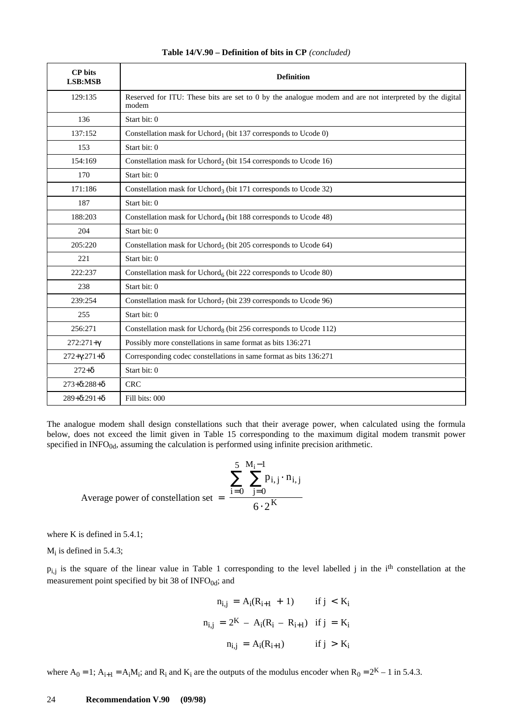| <b>CP</b> bits<br>LSB:MSB     | <b>Definition</b>                                                                                               |
|-------------------------------|-----------------------------------------------------------------------------------------------------------------|
| 129:135                       | Reserved for ITU: These bits are set to 0 by the analogue modem and are not interpreted by the digital<br>modem |
| 136                           | Start bit: 0                                                                                                    |
| 137:152                       | Constellation mask for Uchord <sub>1</sub> (bit 137 corresponds to Ucode 0)                                     |
| 153                           | Start bit: 0                                                                                                    |
| 154:169                       | Constellation mask for Uchord <sub>2</sub> (bit 154 corresponds to Ucode 16)                                    |
| 170                           | Start bit: 0                                                                                                    |
| 171:186                       | Constellation mask for Uchord <sub>3</sub> (bit 171 corresponds to Ucode 32)                                    |
| 187                           | Start bit: 0                                                                                                    |
| 188:203                       | Constellation mask for Uchord <sub>4</sub> (bit 188 corresponds to Ucode 48)                                    |
| 204                           | Start bit: 0                                                                                                    |
| 205:220                       | Constellation mask for Uchord <sub>5</sub> (bit 205 corresponds to Ucode 64)                                    |
| 221                           | Start bit: 0                                                                                                    |
| 222:237                       | Constellation mask for Uchord <sub>6</sub> (bit 222 corresponds to Ucode 80)                                    |
| 238                           | Start bit: 0                                                                                                    |
| 239:254                       | Constellation mask for Uchord <sub>7</sub> (bit 239 corresponds to Ucode 96)                                    |
| 255                           | Start bit: 0                                                                                                    |
| 256:271                       | Constellation mask for Uchord <sub>8</sub> (bit 256 corresponds to Ucode 112)                                   |
| $272:271+\gamma$              | Possibly more constellations in same format as bits 136:271                                                     |
| $272 + \gamma: 271 + \delta$  | Corresponding codec constellations in same format as bits 136:271                                               |
| $272 + \delta$                | Start bit: 0                                                                                                    |
| $273 + \delta$ :288+ $\delta$ | <b>CRC</b>                                                                                                      |
| $289 + \delta$ :291+ $\delta$ | Fill bits: 000                                                                                                  |

#### **Table 14/V.90 – Definition of bits in CP** *(concluded)*

The analogue modem shall design constellations such that their average power, when calculated using the formula below, does not exceed the limit given in Table 15 corresponding to the maximum digital modem transmit power specified in  $INFO<sub>0d</sub>$ , assuming the calculation is performed using infinite precision arithmetic.

Average power of constellation set = 
$$
\frac{\sum_{i=0}^{5} \sum_{j=0}^{M_i - 1} p_{i,j} \cdot n_{i,j}}{6 \cdot 2^{K}}
$$

where K is defined in 5.4.1;

 $M_i$  is defined in 5.4.3;

 $p_{i,j}$  is the square of the linear value in Table 1 corresponding to the level labelled j in the i<sup>th</sup> constellation at the measurement point specified by bit 38 of  $INFO<sub>0d</sub>$ ; and

$$
n_{i,j} = A_i(R_{i+1} + 1) \quad \text{if } j < K_i
$$
\n
$$
n_{i,j} = 2^K - A_i(R_i - R_{i+1}) \quad \text{if } j = K_i
$$
\n
$$
n_{i,j} = A_i(R_{i+1}) \quad \text{if } j > K_i
$$

where  $A_0 = 1$ ;  $A_{i+1} = A_i M_i$ ; and  $R_i$  and  $K_i$  are the outputs of the modulus encoder when  $R_0 = 2^K - 1$  in 5.4.3.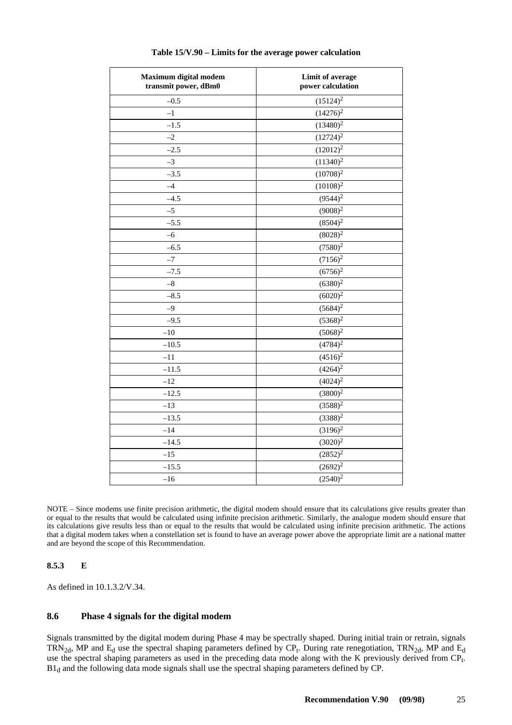<span id="page-32-0"></span>

| Maximum digital modem<br>transmit power, dBm0 | <b>Limit of average</b><br>power calculation |
|-----------------------------------------------|----------------------------------------------|
| $-0.5$                                        | $(15124)^2$                                  |
| $^{-1}$                                       | $(14276)^2$                                  |
| $-1.5$                                        | $(13480)^2$                                  |
| $-2$                                          | $(12724)^2$                                  |
| $-2.5$                                        | $(12012)^2$                                  |
| $-3$                                          | $(11340)^2$                                  |
| $-3.5$                                        | $(10708)^2$                                  |
| $-4$                                          | $(10108)^2$                                  |
| $-4.5$                                        | $(9544)^2$                                   |
| $-5$                                          | $(9008)^2$                                   |
| $-5.5$                                        | $(8504)^2$                                   |
| $-6$                                          | $(8028)^2$                                   |
| $-6.5$                                        | $(7580)^2$                                   |
| $-7$                                          | $(7156)^2$                                   |
| $-7.5$                                        | $(6756)^2$                                   |
| $-8\,$                                        | $(6380)^2$                                   |
| $-8.5$                                        | $(6020)^2$                                   |
| $-9$                                          | $(5684)^2$                                   |
| $-9.5$                                        | $(5368)^2$                                   |
| $-10$                                         | $(5068)^2$                                   |
| $-10.5$                                       | $(4784)^2$                                   |
| $-11$                                         | $(4516)^2$                                   |
| $-11.5$                                       | $(4264)^2$                                   |
| $-12$                                         | $(4024)^2$                                   |
| $-12.5$                                       | $(3800)^2$                                   |
| $-13$                                         | $(3588)^2$                                   |
| $-13.5$                                       | $(3388)^2$                                   |
| $-14$                                         | $(3196)^{2}$                                 |
| $-14.5$                                       | $(3020)^2$                                   |
| $-15$                                         | $(2852)^2$                                   |
| $-15.5$                                       | $(2692)^2$                                   |
| $-16$                                         | $(2540)^2$                                   |

NOTE – Since modems use finite precision arithmetic, the digital modem should ensure that its calculations give results greater than or equal to the results that would be calculated using infinite precision arithmetic. Similarly, the analogue modem should ensure that its calculations give results less than or equal to the results that would be calculated using infinite precision arithmetic. The actions that a digital modem takes when a constellation set is found to have an average power above the appropriate limit are a national matter and are beyond the scope of this Recommendation.

#### **8.5.3 E**

As defined in 10.1.3.2/V.34.

### **8.6 Phase 4 signals for the digital modem**

Signals transmitted by the digital modem during Phase 4 may be spectrally shaped. During initial train or retrain, signals TRN<sub>2d</sub>, MP and E<sub>d</sub> use the spectral shaping parameters defined by CP<sub>t</sub>. During rate renegotiation, TRN<sub>2d</sub>, MP and E<sub>d</sub> use the spectral shaping parameters as used in the preceding data mode along with the K previously derived from CP<sub>t</sub>. B1<sub>d</sub> and the following data mode signals shall use the spectral shaping parameters defined by CP.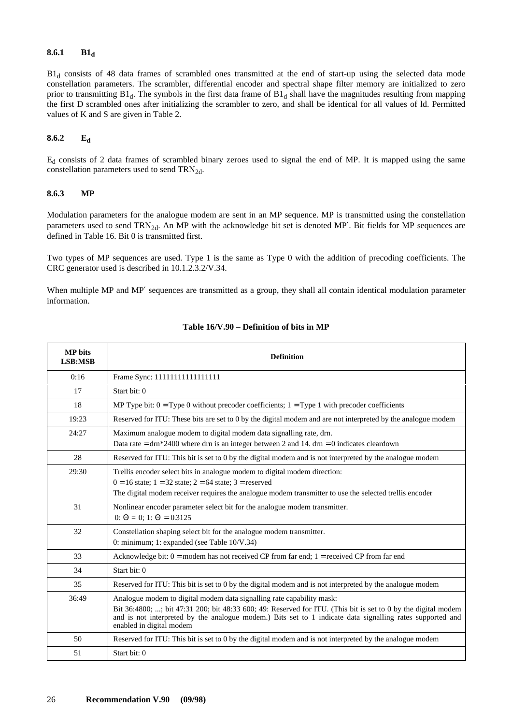#### <span id="page-33-0"></span>**8.6.1 B1d**

 $B1_d$  consists of 48 data frames of scrambled ones transmitted at the end of start-up using the selected data mode constellation parameters. The scrambler, differential encoder and spectral shape filter memory are initialized to zero prior to transmitting  $B1_d$ . The symbols in the first data frame of  $B1_d$  shall have the magnitudes resulting from mapping the first D scrambled ones after initializing the scrambler to zero, and shall be identical for all values of ld. Permitted values of K and S are given in Table 2.

#### **8.6.2 Ed**

Ed consists of 2 data frames of scrambled binary zeroes used to signal the end of MP. It is mapped using the same constellation parameters used to send  $TRN_{2d}$ .

#### **8.6.3 MP**

Modulation parameters for the analogue modem are sent in an MP sequence. MP is transmitted using the constellation parameters used to send TRN<sub>2d</sub>. An MP with the acknowledge bit set is denoted MP'. Bit fields for MP sequences are defined in Table 16. Bit 0 is transmitted first.

Two types of MP sequences are used. Type 1 is the same as Type 0 with the addition of precoding coefficients. The CRC generator used is described in 10.1.2.3.2/V.34.

When multiple MP and MP' sequences are transmitted as a group, they shall all contain identical modulation parameter information.

| <b>MP</b> bits<br>LSB:MSB | <b>Definition</b>                                                                                                                                                                                                                                                                                                               |
|---------------------------|---------------------------------------------------------------------------------------------------------------------------------------------------------------------------------------------------------------------------------------------------------------------------------------------------------------------------------|
| 0:16                      | Frame Sync: 1111111111111111                                                                                                                                                                                                                                                                                                    |
| 17                        | Start bit: 0                                                                                                                                                                                                                                                                                                                    |
| 18                        | MP Type bit: $0 = Type 0$ without precoder coefficients; $1 = Type 1$ with precoder coefficients                                                                                                                                                                                                                                |
| 19:23                     | Reserved for ITU: These bits are set to 0 by the digital modem and are not interpreted by the analogue modem                                                                                                                                                                                                                    |
| 24:27                     | Maximum analogue modem to digital modem data signalling rate, drn.<br>Data rate = $\text{drn} * 2400$ where drn is an integer between 2 and 14. $\text{drn} = 0$ indicates cleardown                                                                                                                                            |
| 28                        | Reserved for ITU: This bit is set to 0 by the digital modem and is not interpreted by the analogue modem                                                                                                                                                                                                                        |
| 29:30                     | Trellis encoder select bits in analogue modem to digital modem direction:<br>$0 = 16$ state; $1 = 32$ state; $2 = 64$ state; $3 =$ reserved<br>The digital modem receiver requires the analogue modem transmitter to use the selected trellis encoder                                                                           |
| 31                        | Nonlinear encoder parameter select bit for the analogue modem transmitter.<br>0: $\Theta = 0$ ; 1: $\Theta = 0.3125$                                                                                                                                                                                                            |
| 32                        | Constellation shaping select bit for the analogue modem transmitter.<br>0: minimum; 1: expanded (see Table $10/V.34$ )                                                                                                                                                                                                          |
| 33                        | Acknowledge bit: $0 =$ modem has not received CP from far end; $1 =$ received CP from far end                                                                                                                                                                                                                                   |
| 34                        | Start bit: 0                                                                                                                                                                                                                                                                                                                    |
| 35                        | Reserved for ITU: This bit is set to 0 by the digital modem and is not interpreted by the analogue modem                                                                                                                                                                                                                        |
| 36:49                     | Analogue modem to digital modem data signalling rate capability mask:<br>Bit 36:4800; ; bit 47:31 200; bit 48:33 600; 49: Reserved for ITU. (This bit is set to 0 by the digital modem<br>and is not interpreted by the analogue modem.) Bits set to 1 indicate data signalling rates supported and<br>enabled in digital modem |
| 50                        | Reserved for ITU: This bit is set to 0 by the digital modem and is not interpreted by the analogue modem                                                                                                                                                                                                                        |
| 51                        | Start bit: 0                                                                                                                                                                                                                                                                                                                    |

### **Table 16/V.90 – Definition of bits in MP**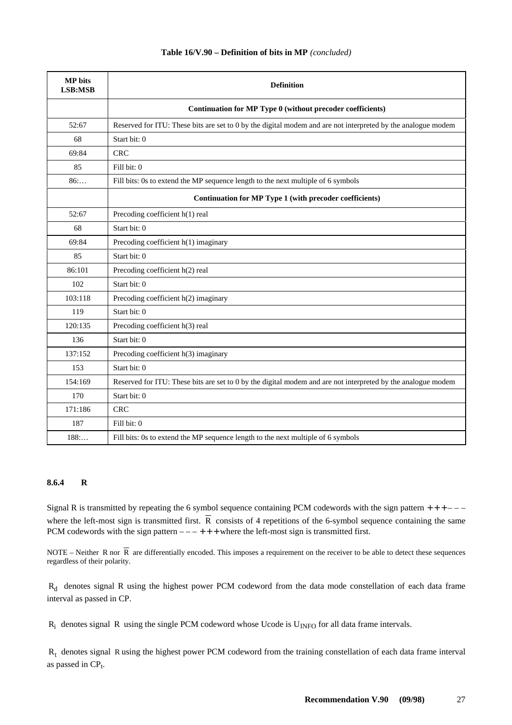<span id="page-34-0"></span>

| <b>MP</b> bits<br>LSB:MSB | <b>Definition</b>                                                                                            |
|---------------------------|--------------------------------------------------------------------------------------------------------------|
|                           | Continuation for MP Type 0 (without precoder coefficients)                                                   |
| 52:67                     | Reserved for ITU: These bits are set to 0 by the digital modem and are not interpreted by the analogue modem |
| 68                        | Start bit: 0                                                                                                 |
| 69:84                     | <b>CRC</b>                                                                                                   |
| 85                        | Fill bit: 0                                                                                                  |
| 86:                       | Fill bits: 0s to extend the MP sequence length to the next multiple of 6 symbols                             |
|                           | Continuation for MP Type 1 (with precoder coefficients)                                                      |
| 52:67                     | Precoding coefficient h(1) real                                                                              |
| 68                        | Start bit: 0                                                                                                 |
| 69:84                     | Precoding coefficient h(1) imaginary                                                                         |
| 85                        | Start bit: 0                                                                                                 |
| 86:101                    | Precoding coefficient h(2) real                                                                              |
| 102                       | Start bit: 0                                                                                                 |
| 103:118                   | Precoding coefficient h(2) imaginary                                                                         |
| 119                       | Start bit: 0                                                                                                 |
| 120:135                   | Precoding coefficient h(3) real                                                                              |
| 136                       | Start bit: 0                                                                                                 |
| 137:152                   | Precoding coefficient h(3) imaginary                                                                         |
| 153                       | Start bit: 0                                                                                                 |
| 154:169                   | Reserved for ITU: These bits are set to 0 by the digital modem and are not interpreted by the analogue modem |
| 170                       | Start bit: 0                                                                                                 |
| 171:186                   | <b>CRC</b>                                                                                                   |
| 187                       | Fill bit: 0                                                                                                  |
| 188                       | Fill bits: 0s to extend the MP sequence length to the next multiple of 6 symbols                             |

### **Table 16/V.90 – Definition of bits in MP** *(concluded)*

#### **8.6.4 R**

Signal R is transmitted by repeating the 6 symbol sequence containing PCM codewords with the sign pattern  $++--$ where the left-most sign is transmitted first.  $\overline{R}$  consists of 4 repetitions of the 6-symbol sequence containing the same PCM codewords with the sign pattern  $---+++$  where the left-most sign is transmitted first.

NOTE – Neither R nor  $\overline{R}$  are differentially encoded. This imposes a requirement on the receiver to be able to detect these sequences regardless of their polarity.

 $R_d$  denotes signal R using the highest power PCM codeword from the data mode constellation of each data frame interval as passed in CP.

 $R_i$  denotes signal R using the single PCM codeword whose Ucode is  $U_{INFO}$  for all data frame intervals.

 $R_t$  denotes signal R using the highest power PCM codeword from the training constellation of each data frame interval as passed in  $CP<sub>t</sub>$ .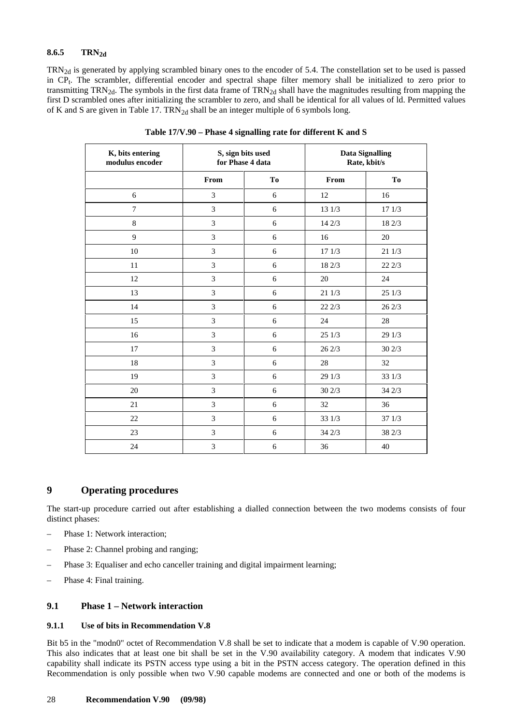### <span id="page-35-0"></span>8.6.5 TRN<sub>2d</sub>

 $TRN_{2d}$  is generated by applying scrambled binary ones to the encoder of 5.4. The constellation set to be used is passed in CP<sub>t</sub>. The scrambler, differential encoder and spectral shape filter memory shall be initialized to zero prior to transmitting  $TRN_{2d}$ . The symbols in the first data frame of  $TRN_{2d}$  shall have the magnitudes resulting from mapping the first D scrambled ones after initializing the scrambler to zero, and shall be identical for all values of ld. Permitted values of K and S are given in Table 17.  $TRN<sub>2d</sub>$  shall be an integer multiple of 6 symbols long.

| K, bits entering<br>modulus encoder | S, sign bits used<br>for Phase 4 data |            | <b>Data Signalling</b><br>Rate, kbit/s |        |
|-------------------------------------|---------------------------------------|------------|----------------------------------------|--------|
|                                     | From                                  | To         | From                                   | To     |
| 6                                   | 3                                     | 6          | 12                                     | 16     |
| 7                                   | 3                                     | 6          | 13 1/3                                 | 17 1/3 |
| $\bf 8$                             | 3                                     | 6          | 14 2/3                                 | 18 2/3 |
| 9                                   | 3                                     | 6          | 16                                     | 20     |
| 10                                  | 3                                     | 6          | 17 1/3                                 | 21 1/3 |
| 11                                  | 3                                     | 6          | 18 2/3                                 | 22 2/3 |
| 12                                  | 3                                     | 6          | 20                                     | 24     |
| 13                                  | 3                                     | 6          | 21 1/3                                 | 25 1/3 |
| 14                                  | 3                                     | 6          | 22 2/3                                 | 262/3  |
| 15                                  | 3                                     | 6          | 24                                     | 28     |
| 16                                  | 3                                     | 6          | 251/3                                  | 29 1/3 |
| 17                                  | 3                                     | 6          | 26 2/3                                 | 30 2/3 |
| 18                                  | 3                                     | 6          | 28                                     | 32     |
| 19                                  | 3                                     | $\sqrt{6}$ | 29 1/3                                 | 33 1/3 |
| 20                                  | $\overline{3}$                        | 6          | 302/3                                  | 34 2/3 |
| 21                                  | 3                                     | 6          | 32                                     | 36     |
| 22                                  | 3                                     | 6          | 33 1/3                                 | 371/3  |
| 23                                  | $\overline{3}$                        | $\sqrt{6}$ | 34 2/3                                 | 38 2/3 |
| 24                                  | $\overline{3}$                        | 6          | 36                                     | 40     |

**Table 17/V.90 – Phase 4 signalling rate for different K and S**

### **9 Operating procedures**

The start-up procedure carried out after establishing a dialled connection between the two modems consists of four distinct phases:

- Phase 1: Network interaction;
- Phase 2: Channel probing and ranging;
- Phase 3: Equaliser and echo canceller training and digital impairment learning;
- Phase 4: Final training.

#### **9.1 Phase 1 – Network interaction**

#### **9.1.1 Use of bits in Recommendation V.8**

Bit b5 in the "modn0" octet of Recommendation V.8 shall be set to indicate that a modem is capable of V.90 operation. This also indicates that at least one bit shall be set in the V.90 availability category. A modem that indicates V.90 capability shall indicate its PSTN access type using a bit in the PSTN access category. The operation defined in this Recommendation is only possible when two V.90 capable modems are connected and one or both of the modems is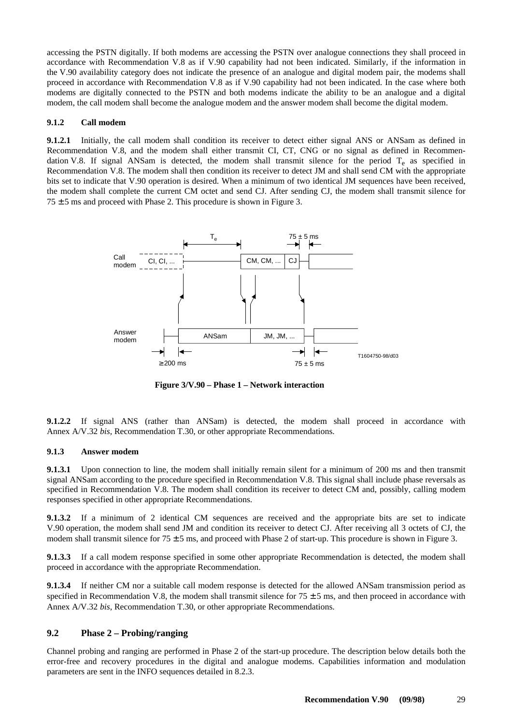<span id="page-36-0"></span>accessing the PSTN digitally. If both modems are accessing the PSTN over analogue connections they shall proceed in accordance with Recommendation V.8 as if V.90 capability had not been indicated. Similarly, if the information in the V.90 availability category does not indicate the presence of an analogue and digital modem pair, the modems shall proceed in accordance with Recommendation V.8 as if V.90 capability had not been indicated. In the case where both modems are digitally connected to the PSTN and both modems indicate the ability to be an analogue and a digital modem, the call modem shall become the analogue modem and the answer modem shall become the digital modem.

#### **9.1.2 Call modem**

**9.1.2.1** Initially, the call modem shall condition its receiver to detect either signal ANS or ANSam as defined in Recommendation V.8, and the modem shall either transmit CI, CT, CNG or no signal as defined in Recommendation V.8. If signal ANSam is detected, the modem shall transmit silence for the period  $T_e$  as specified in Recommendation V.8. The modem shall then condition its receiver to detect JM and shall send CM with the appropriate bits set to indicate that V.90 operation is desired. When a minimum of two identical JM sequences have been received, the modem shall complete the current CM octet and send CJ. After sending CJ, the modem shall transmit silence for  $75 \pm 5$  ms and proceed with Phase 2. This procedure is shown in Figure 3.



**Figure 3/V.90 – Phase 1 – Network interaction** 

**9.1.2.2** If signal ANS (rather than ANSam) is detected, the modem shall proceed in accordance with Annex A/V.32 *bis*, Recommendation T.30, or other appropriate Recommendations.

#### **9.1.3 Answer modem**

**9.1.3.1** Upon connection to line, the modem shall initially remain silent for a minimum of 200 ms and then transmit signal ANSam according to the procedure specified in Recommendation V.8. This signal shall include phase reversals as specified in Recommendation V.8. The modem shall condition its receiver to detect CM and, possibly, calling modem responses specified in other appropriate Recommendations.

**9.1.3.2** If a minimum of 2 identical CM sequences are received and the appropriate bits are set to indicate V.90 operation, the modem shall send JM and condition its receiver to detect CJ. After receiving all 3 octets of CJ, the modem shall transmit silence for  $75 \pm 5$  ms, and proceed with Phase 2 of start-up. This procedure is shown in Figure 3.

**9.1.3.3** If a call modem response specified in some other appropriate Recommendation is detected, the modem shall proceed in accordance with the appropriate Recommendation.

**9.1.3.4** If neither CM nor a suitable call modem response is detected for the allowed ANSam transmission period as specified in Recommendation V.8, the modem shall transmit silence for  $75 \pm 5$  ms, and then proceed in accordance with Annex A/V.32 *bis*, Recommendation T.30, or other appropriate Recommendations.

#### **9.2 Phase 2 – Probing/ranging**

Channel probing and ranging are performed in Phase 2 of the start-up procedure. The description below details both the error-free and recovery procedures in the digital and analogue modems. Capabilities information and modulation parameters are sent in the INFO sequences detailed in 8.2.3.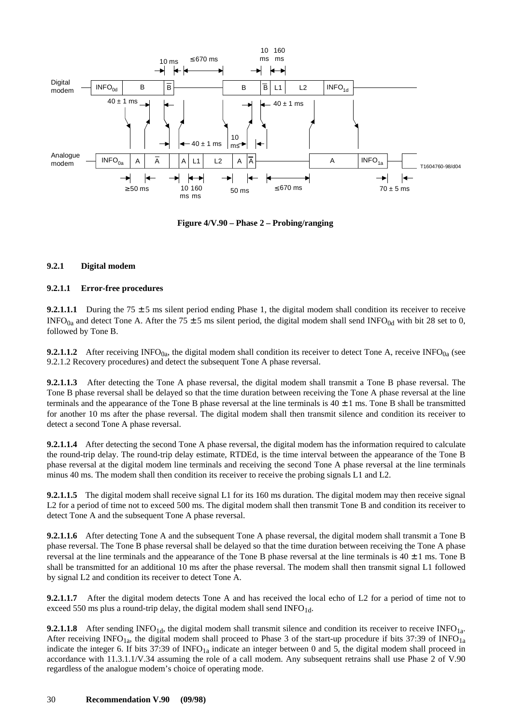<span id="page-37-0"></span>

**Figure 4/V.90 – Phase 2 – Probing/ranging**

#### **9.2.1 Digital modem**

#### **9.2.1.1 Error-free procedures**

**9.2.1.1.1** During the 75  $\pm$  5 ms silent period ending Phase 1, the digital modem shall condition its receiver to receive INFO<sub>0a</sub> and detect Tone A. After the 75  $\pm$  5 ms silent period, the digital modem shall send INFO<sub>0d</sub> with bit 28 set to 0, followed by Tone B.

**9.2.1.1.2** After receiving INFO<sub>0a</sub>, the digital modem shall condition its receiver to detect Tone A, receive INFO<sub>0a</sub> (see 9.2.1.2 Recovery procedures) and detect the subsequent Tone A phase reversal.

**9.2.1.1.3** After detecting the Tone A phase reversal, the digital modem shall transmit a Tone B phase reversal. The Tone B phase reversal shall be delayed so that the time duration between receiving the Tone A phase reversal at the line terminals and the appearance of the Tone B phase reversal at the line terminals is  $40 \pm 1$  ms. Tone B shall be transmitted for another 10 ms after the phase reversal. The digital modem shall then transmit silence and condition its receiver to detect a second Tone A phase reversal.

**9.2.1.1.4** After detecting the second Tone A phase reversal, the digital modem has the information required to calculate the round-trip delay. The round-trip delay estimate, RTDEd, is the time interval between the appearance of the Tone B phase reversal at the digital modem line terminals and receiving the second Tone A phase reversal at the line terminals minus 40 ms. The modem shall then condition its receiver to receive the probing signals L1 and L2.

**9.2.1.1.5** The digital modem shall receive signal L1 for its 160 ms duration. The digital modem may then receive signal L2 for a period of time not to exceed 500 ms. The digital modem shall then transmit Tone B and condition its receiver to detect Tone A and the subsequent Tone A phase reversal.

**9.2.1.1.6** After detecting Tone A and the subsequent Tone A phase reversal, the digital modem shall transmit a Tone B phase reversal. The Tone B phase reversal shall be delayed so that the time duration between receiving the Tone A phase reversal at the line terminals and the appearance of the Tone B phase reversal at the line terminals is  $40 \pm 1$  ms. Tone B shall be transmitted for an additional 10 ms after the phase reversal. The modem shall then transmit signal L1 followed by signal L2 and condition its receiver to detect Tone A.

**9.2.1.1.7** After the digital modem detects Tone A and has received the local echo of L2 for a period of time not to exceed 550 ms plus a round-trip delay, the digital modem shall send INFO<sub>1d</sub>.

**9.2.1.1.8** After sending INFO<sub>1d</sub>, the digital modem shall transmit silence and condition its receiver to receive INFO<sub>1a</sub>. After receiving INFO<sub>1a</sub>, the digital modem shall proceed to Phase 3 of the start-up procedure if bits 37:39 of INFO<sub>1a</sub> indicate the integer 6. If bits 37:39 of  $INFO<sub>1a</sub>$  indicate an integer between 0 and 5, the digital modem shall proceed in accordance with 11.3.1.1/V.34 assuming the role of a call modem. Any subsequent retrains shall use Phase 2 of V.90 regardless of the analogue modem's choice of operating mode.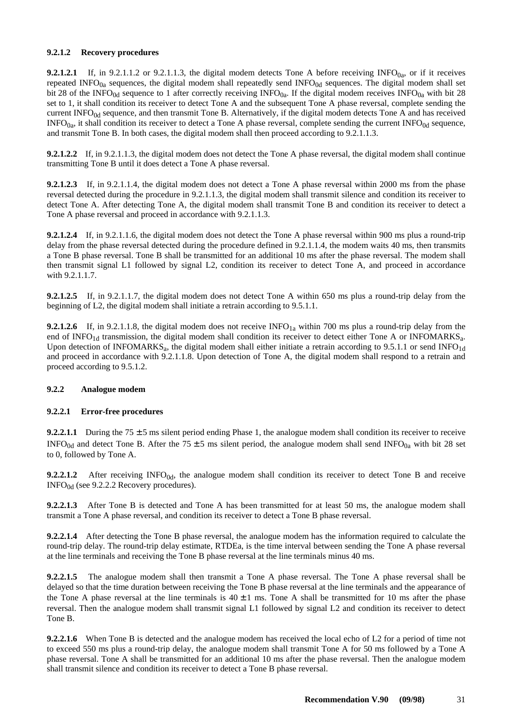#### <span id="page-38-0"></span>**9.2.1.2 Recovery procedures**

**9.2.1.2.1** If, in 9.2.1.1.2 or 9.2.1.1.3, the digital modem detects Tone A before receiving  $INFO<sub>0a</sub>$ , or if it receives repeated INFO $_{0a}$  sequences, the digital modem shall repeatedly send INFO $_{0d}$  sequences. The digital modem shall set bit 28 of the INFO<sub>0d</sub> sequence to 1 after correctly receiving INFO<sub>0a</sub>. If the digital modem receives INFO<sub>0a</sub> with bit 28 set to 1, it shall condition its receiver to detect Tone A and the subsequent Tone A phase reversal, complete sending the current INFO $_{0d}$  sequence, and then transmit Tone B. Alternatively, if the digital modem detects Tone A and has received  $INFO<sub>0a</sub>$ , it shall condition its receiver to detect a Tone A phase reversal, complete sending the current  $INFO<sub>0d</sub>$  sequence, and transmit Tone B. In both cases, the digital modem shall then proceed according to 9.2.1.1.3.

**9.2.1.2.2** If, in 9.2.1.1.3, the digital modem does not detect the Tone A phase reversal, the digital modem shall continue transmitting Tone B until it does detect a Tone A phase reversal.

**9.2.1.2.3** If, in 9.2.1.1.4, the digital modem does not detect a Tone A phase reversal within 2000 ms from the phase reversal detected during the procedure in 9.2.1.1.3, the digital modem shall transmit silence and condition its receiver to detect Tone A. After detecting Tone A, the digital modem shall transmit Tone B and condition its receiver to detect a Tone A phase reversal and proceed in accordance with 9.2.1.1.3.

**9.2.1.2.4** If, in 9.2.1.1.6, the digital modem does not detect the Tone A phase reversal within 900 ms plus a round-trip delay from the phase reversal detected during the procedure defined in 9.2.1.1.4, the modem waits 40 ms, then transmits a Tone B phase reversal. Tone B shall be transmitted for an additional 10 ms after the phase reversal. The modem shall then transmit signal L1 followed by signal L2, condition its receiver to detect Tone A, and proceed in accordance with 9.2.1.1.7.

**9.2.1.2.5** If, in 9.2.1.1.7, the digital modem does not detect Tone A within 650 ms plus a round-trip delay from the beginning of L2, the digital modem shall initiate a retrain according to 9.5.1.1.

**9.2.1.2.6** If, in 9.2.1.1.8, the digital modem does not receive INFO<sub>1a</sub> within 700 ms plus a round-trip delay from the end of INFO<sub>1d</sub> transmission, the digital modem shall condition its receiver to detect either Tone A or INFOMARKS<sub>a</sub>. Upon detection of INFOMARKS<sub>a</sub>, the digital modem shall either initiate a retrain according to 9.5.1.1 or send INFO<sub>1d</sub> and proceed in accordance with 9.2.1.1.8. Upon detection of Tone A, the digital modem shall respond to a retrain and proceed according to 9.5.1.2.

#### **9.2.2 Analogue modem**

#### **9.2.2.1 Error-free procedures**

**9.2.2.1.1** During the 75  $\pm$  5 ms silent period ending Phase 1, the analogue modem shall condition its receiver to receive INFO<sub>0d</sub> and detect Tone B. After the 75  $\pm$  5 ms silent period, the analogue modem shall send INFO<sub>0a</sub> with bit 28 set to 0, followed by Tone A.

**9.2.2.1.2** After receiving  $INFO<sub>0d</sub>$ , the analogue modem shall condition its receiver to detect Tone B and receive  $INFO<sub>0d</sub>$  (see 9.2.2.2 Recovery procedures).

**9.2.2.1.3** After Tone B is detected and Tone A has been transmitted for at least 50 ms, the analogue modem shall transmit a Tone A phase reversal, and condition its receiver to detect a Tone B phase reversal.

**9.2.2.1.4** After detecting the Tone B phase reversal, the analogue modem has the information required to calculate the round-trip delay. The round-trip delay estimate, RTDEa, is the time interval between sending the Tone A phase reversal at the line terminals and receiving the Tone B phase reversal at the line terminals minus 40 ms.

**9.2.2.1.5** The analogue modem shall then transmit a Tone A phase reversal. The Tone A phase reversal shall be delayed so that the time duration between receiving the Tone B phase reversal at the line terminals and the appearance of the Tone A phase reversal at the line terminals is  $40 \pm 1$  ms. Tone A shall be transmitted for 10 ms after the phase reversal. Then the analogue modem shall transmit signal L1 followed by signal L2 and condition its receiver to detect Tone B.

**9.2.2.1.6** When Tone B is detected and the analogue modem has received the local echo of L2 for a period of time not to exceed 550 ms plus a round-trip delay, the analogue modem shall transmit Tone A for 50 ms followed by a Tone A phase reversal. Tone A shall be transmitted for an additional 10 ms after the phase reversal. Then the analogue modem shall transmit silence and condition its receiver to detect a Tone B phase reversal.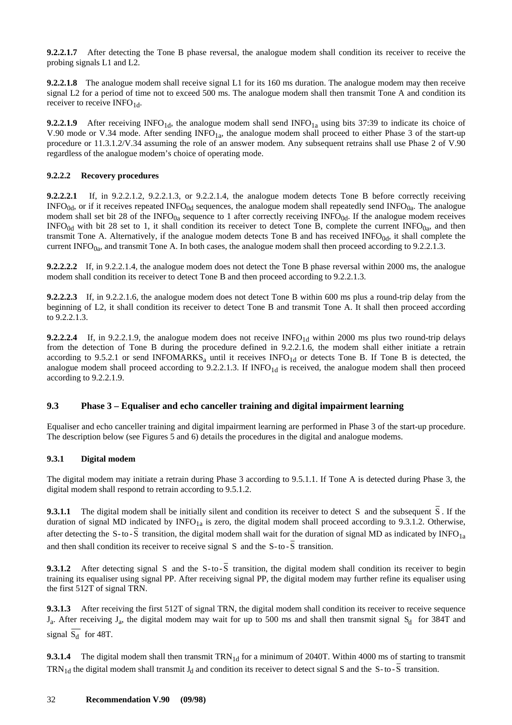<span id="page-39-0"></span>**9.2.2.1.7** After detecting the Tone B phase reversal, the analogue modem shall condition its receiver to receive the probing signals L1 and L2.

**9.2.2.1.8** The analogue modem shall receive signal L1 for its 160 ms duration. The analogue modem may then receive signal L2 for a period of time not to exceed 500 ms. The analogue modem shall then transmit Tone A and condition its receiver to receive INFO<sub>1d</sub>.

**9.2.2.1.9** After receiving INFO<sub>1d</sub>, the analogue modem shall send INFO<sub>1a</sub> using bits 37:39 to indicate its choice of V.90 mode or V.34 mode. After sending INFO<sub>1a</sub>, the analogue modem shall proceed to either Phase 3 of the start-up procedure or 11.3.1.2/V.34 assuming the role of an answer modem. Any subsequent retrains shall use Phase 2 of V.90 regardless of the analogue modem's choice of operating mode.

#### **9.2.2.2 Recovery procedures**

**9.2.2.2.1** If, in 9.2.2.1.2, 9.2.2.1.3, or 9.2.2.1.4, the analogue modem detects Tone B before correctly receiving  $INFO<sub>0d</sub>$ , or if it receives repeated  $INFO<sub>0d</sub>$  sequences, the analogue modem shall repeatedly send  $INFO<sub>0a</sub>$ . The analogue modem shall set bit 28 of the  $INFO_{0a}$  sequence to 1 after correctly receiving  $INFO_{0d}$ . If the analogue modem receives INFO<sub>0d</sub> with bit 28 set to 1, it shall condition its receiver to detect Tone B, complete the current INFO<sub>0a</sub>, and then transmit Tone A. Alternatively, if the analogue modem detects Tone B and has received  $INFO<sub>0d</sub>$ , it shall complete the current INFO $_{0a}$ , and transmit Tone A. In both cases, the analogue modem shall then proceed according to 9.2.2.1.3.

**9.2.2.2.2** If, in 9.2.2.1.4, the analogue modem does not detect the Tone B phase reversal within 2000 ms, the analogue modem shall condition its receiver to detect Tone B and then proceed according to 9.2.2.1.3.

**9.2.2.2.3** If, in 9.2.2.1.6, the analogue modem does not detect Tone B within 600 ms plus a round-trip delay from the beginning of L2, it shall condition its receiver to detect Tone B and transmit Tone A. It shall then proceed according to 9.2.2.1.3.

**9.2.2.2.4** If, in 9.2.2.1.9, the analogue modem does not receive  $INFO<sub>1d</sub>$  within 2000 ms plus two round-trip delays from the detection of Tone B during the procedure defined in 9.2.2.1.6, the modem shall either initiate a retrain according to 9.5.2.1 or send INFOMARKS<sub>a</sub> until it receives  $INFO<sub>1d</sub>$  or detects Tone B. If Tone B is detected, the analogue modem shall proceed according to  $9.2.2.1.3$ . If  $INFO<sub>1d</sub>$  is received, the analogue modem shall then proceed according to 9.2.2.1.9.

#### **9.3 Phase 3 – Equaliser and echo canceller training and digital impairment learning**

Equaliser and echo canceller training and digital impairment learning are performed in Phase 3 of the start-up procedure. The description below (see Figures 5 and 6) details the procedures in the digital and analogue modems.

#### **9.3.1 Digital modem**

The digital modem may initiate a retrain during Phase 3 according to 9.5.1.1. If Tone A is detected during Phase 3, the digital modem shall respond to retrain according to 9.5.1.2.

**9.3.1.1** The digital modem shall be initially silent and condition its receiver to detect S and the subsequent S. If the duration of signal MD indicated by  $INFO<sub>1a</sub>$  is zero, the digital modem shall proceed according to 9.3.1.2. Otherwise, after detecting the S-to- $\overline{S}$  transition, the digital modem shall wait for the duration of signal MD as indicated by INFO<sub>1a</sub> and then shall condition its receiver to receive signal S and the  $S$ -to- $\overline{S}$  transition.

**9.3.1.2** After detecting signal S and the S-to- $\overline{S}$  transition, the digital modem shall condition its receiver to begin training its equaliser using signal PP. After receiving signal PP, the digital modem may further refine its equaliser using the first 512T of signal TRN.

**9.3.1.3** After receiving the first 512T of signal TRN, the digital modem shall condition its receiver to receive sequence  $J_a$ . After receiving  $J_a$ , the digital modem may wait for up to 500 ms and shall then transmit signal  $S_d$  for 384T and signal  $\overline{S_d}$  for 48T.

**9.3.1.4** The digital modem shall then transmit TRN<sub>1d</sub> for a minimum of 2040T. Within 4000 ms of starting to transmit TRN<sub>1d</sub> the digital modem shall transmit  $J_d$  and condition its receiver to detect signal S and the S-to-S transition.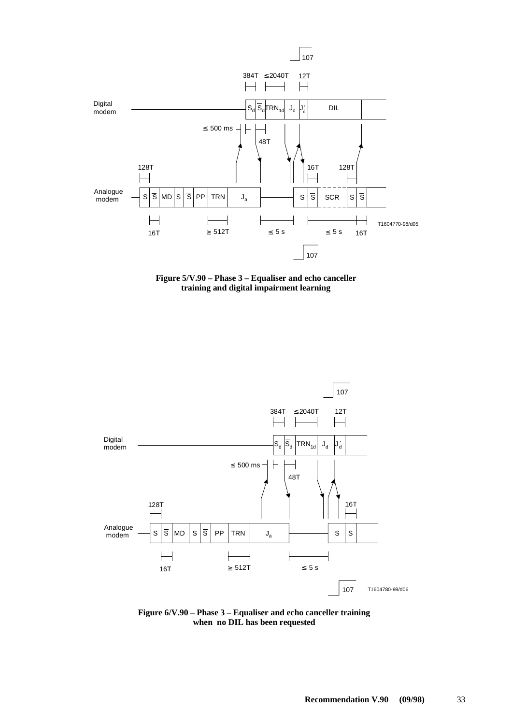





**Figure 6/V.90 – Phase 3 – Equaliser and echo canceller training when no DIL has been requested**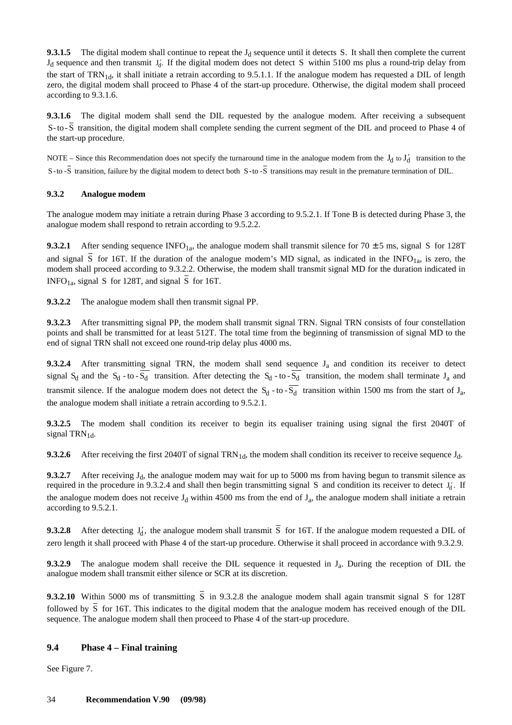<span id="page-41-0"></span>**9.3.1.5** The digital modem shall continue to repeat the  $J_d$  sequence until it detects S. It shall then complete the current  $J_d$  sequence and then transmit  $J_d'$ . If the digital modem does not detect S within 5100 ms plus a round-trip delay from the start of  $TRN_{1d}$ , it shall initiate a retrain according to 9.5.1.1. If the analogue modem has requested a DIL of length zero, the digital modem shall proceed to Phase 4 of the start-up procedure. Otherwise, the digital modem shall proceed according to 9.3.1.6.

**9.3.1.6** The digital modem shall send the DIL requested by the analogue modem. After receiving a subsequent S- to- S transition, the digital modem shall complete sending the current segment of the DIL and proceed to Phase 4 of the start-up procedure.

NOTE – Since this Recommendation does not specify the turnaround time in the analogue modem from the  $J_d$  to  $J'_d$  transition to the S-to  $-\overline{S}$  transition, failure by the digital modem to detect both S-to  $-\overline{S}$  transitions may result in the premature termination of DIL.

#### **9.3.2 Analogue modem**

The analogue modem may initiate a retrain during Phase 3 according to 9.5.2.1. If Tone B is detected during Phase 3, the analogue modem shall respond to retrain according to 9.5.2.2.

**9.3.2.1** After sending sequence INFO<sub>1a</sub>, the analogue modem shall transmit silence for 70  $\pm$  5 ms, signal S for 128T and signal  $\overline{S}$  for 16T. If the duration of the analogue modem's MD signal, as indicated in the INFO<sub>1a</sub>, is zero, the modem shall proceed according to 9.3.2.2. Otherwise, the modem shall transmit signal MD for the duration indicated in INFO<sub>1a</sub>, signal S for 128T, and signal  $\overline{S}$  for 16T.

**9.3.2.2** The analogue modem shall then transmit signal PP.

**9.3.2.3** After transmitting signal PP, the modem shall transmit signal TRN. Signal TRN consists of four constellation points and shall be transmitted for at least 512T. The total time from the beginning of transmission of signal MD to the end of signal TRN shall not exceed one round-trip delay plus 4000 ms.

**9.3.2.4** After transmitting signal TRN, the modem shall send sequence J<sub>a</sub> and condition its receiver to detect signal  $S_d$  and the  $S_d$  - to -  $\overline{S_d}$  transition. After detecting the  $S_d$  - to -  $\overline{S_d}$  transition, the modem shall terminate J<sub>a</sub> and transmit silence. If the analogue modem does not detect the  $S_d$  - to -  $\overline{S_d}$  transition within 1500 ms from the start of  $J_a$ , the analogue modem shall initiate a retrain according to 9.5.2.1.

**9.3.2.5** The modem shall condition its receiver to begin its equaliser training using signal the first 2040T of signal TRN $_{1d}$ .

**9.3.2.6** After receiving the first 2040T of signal TRN<sub>1d</sub>, the modem shall condition its receiver to receive sequence  $J_d$ .

**9.3.2.7** After receiving  $J_d$ , the analogue modem may wait for up to 5000 ms from having begun to transmit silence as required in the procedure in 9.3.2.4 and shall then begin transmitting signal S and condition its receiver to detect  $J_d'$ . If the analogue modem does not receive  $J_d$  within 4500 ms from the end of  $J_a$ , the analogue modem shall initiate a retrain according to 9.5.2.1.

**9.3.2.8** After detecting  $J_d'$ , the analogue modem shall transmit S for 16T. If the analogue modem requested a DIL of zero length it shall proceed with Phase 4 of the start-up procedure. Otherwise it shall proceed in accordance with 9.3.2.9.

**9.3.2.9** The analogue modem shall receive the DIL sequence it requested in J<sub>a</sub>. During the reception of DIL the analogue modem shall transmit either silence or SCR at its discretion.

**9.3.2.10** Within 5000 ms of transmitting  $\overline{S}$  in 9.3.2.8 the analogue modem shall again transmit signal S for 128T followed by  $\overline{S}$  for 16T. This indicates to the digital modem that the analogue modem has received enough of the DIL sequence. The analogue modem shall then proceed to Phase 4 of the start-up procedure.

#### **9.4 Phase 4 – Final training**

See Figure 7.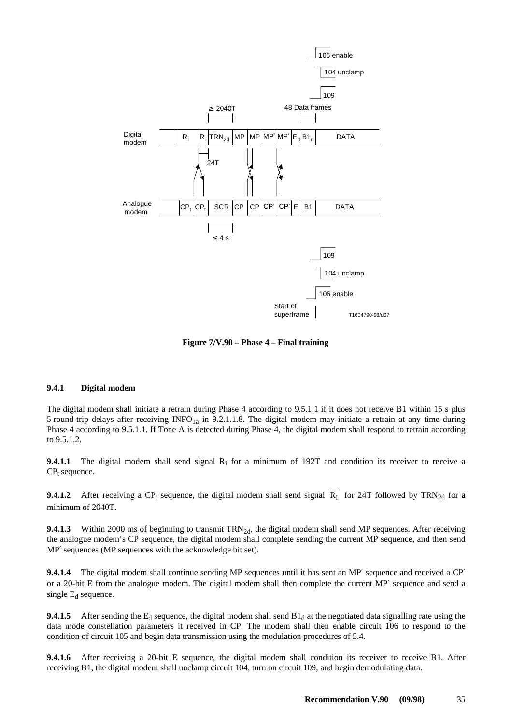<span id="page-42-0"></span>

**Figure 7/V.90 – Phase 4 – Final training**

#### **9.4.1 Digital modem**

The digital modem shall initiate a retrain during Phase 4 according to 9.5.1.1 if it does not receive B1 within 15 s plus 5 round-trip delays after receiving  $INFO<sub>1a</sub>$  in 9.2.1.1.8. The digital modem may initiate a retrain at any time during Phase 4 according to 9.5.1.1. If Tone A is detected during Phase 4, the digital modem shall respond to retrain according to 9.5.1.2.

**9.4.1.1** The digital modem shall send signal R<sub>i</sub> for a minimum of 192T and condition its receiver to receive a  $CP<sub>t</sub>$  sequence.

**9.4.1.2** After receiving a CP<sub>t</sub> sequence, the digital modem shall send signal  $\overline{R_i}$  for 24T followed by TRN<sub>2d</sub> for a minimum of 2040T.

**9.4.1.3** Within 2000 ms of beginning to transmit TRN<sub>2d</sub>, the digital modem shall send MP sequences. After receiving the analogue modem's CP sequence, the digital modem shall complete sending the current MP sequence, and then send MP′ sequences (MP sequences with the acknowledge bit set).

**9.4.1.4** The digital modem shall continue sending MP sequences until it has sent an MP' sequence and received a CP' or a 20-bit E from the analogue modem. The digital modem shall then complete the current MP′ sequence and send a single  $E_d$  sequence.

**9.4.1.5** After sending the  $E_d$  sequence, the digital modem shall send  $B1_d$  at the negotiated data signalling rate using the data mode constellation parameters it received in CP. The modem shall then enable circuit 106 to respond to the condition of circuit 105 and begin data transmission using the modulation procedures of 5.4.

**9.4.1.6** After receiving a 20-bit E sequence, the digital modem shall condition its receiver to receive B1. After receiving B1, the digital modem shall unclamp circuit 104, turn on circuit 109, and begin demodulating data.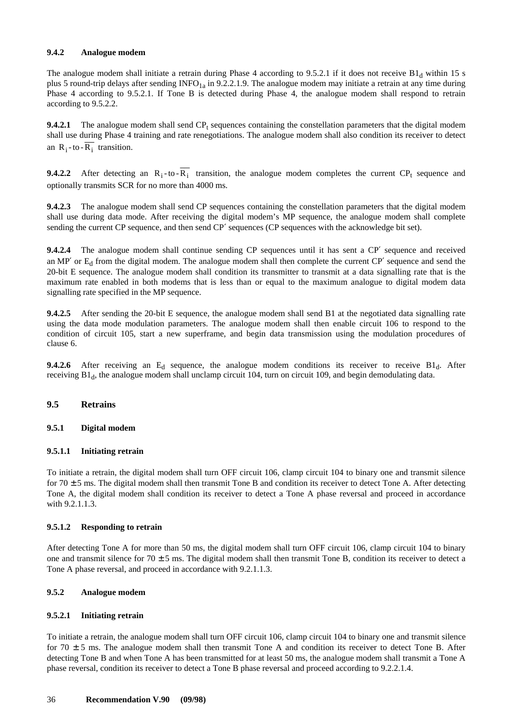#### <span id="page-43-0"></span>**9.4.2 Analogue modem**

The analogue modem shall initiate a retrain during Phase 4 according to 9.5.2.1 if it does not receive  $B1_d$  within 15 s plus 5 round-trip delays after sending  $INFO<sub>1a</sub>$  in 9.2.2.1.9. The analogue modem may initiate a retrain at any time during Phase 4 according to 9.5.2.1. If Tone B is detected during Phase 4, the analogue modem shall respond to retrain according to 9.5.2.2.

**9.4.2.1** The analogue modem shall send  $\text{CP}_t$  sequences containing the constellation parameters that the digital modem shall use during Phase 4 training and rate renegotiations. The analogue modem shall also condition its receiver to detect an  $R_i$ -to- $\overline{R_i}$  transition.

**9.4.2.2** After detecting an  $R_i$ -to- $\overline{R_i}$  transition, the analogue modem completes the current CP<sub>t</sub> sequence and optionally transmits SCR for no more than 4000 ms.

**9.4.2.3** The analogue modem shall send CP sequences containing the constellation parameters that the digital modem shall use during data mode. After receiving the digital modem's MP sequence, the analogue modem shall complete sending the current CP sequence, and then send CP' sequences (CP sequences with the acknowledge bit set).

**9.4.2.4** The analogue modem shall continue sending CP sequences until it has sent a CP′ sequence and received an MP' or  $E_d$  from the digital modem. The analogue modem shall then complete the current  $CP'$  sequence and send the 20-bit E sequence. The analogue modem shall condition its transmitter to transmit at a data signalling rate that is the maximum rate enabled in both modems that is less than or equal to the maximum analogue to digital modem data signalling rate specified in the MP sequence.

**9.4.2.5** After sending the 20-bit E sequence, the analogue modem shall send B1 at the negotiated data signalling rate using the data mode modulation parameters. The analogue modem shall then enable circuit 106 to respond to the condition of circuit 105, start a new superframe, and begin data transmission using the modulation procedures of clause 6.

**9.4.2.6** After receiving an  $E_d$  sequence, the analogue modem conditions its receiver to receive  $B1_d$ . After receiving  $B1_d$ , the analogue modem shall unclamp circuit 104, turn on circuit 109, and begin demodulating data.

#### **9.5 Retrains**

#### **9.5.1 Digital modem**

#### **9.5.1.1 Initiating retrain**

To initiate a retrain, the digital modem shall turn OFF circuit 106, clamp circuit 104 to binary one and transmit silence for  $70 \pm 5$  ms. The digital modem shall then transmit Tone B and condition its receiver to detect Tone A. After detecting Tone A, the digital modem shall condition its receiver to detect a Tone A phase reversal and proceed in accordance with 9.2.1.1.3.

#### **9.5.1.2 Responding to retrain**

After detecting Tone A for more than 50 ms, the digital modem shall turn OFF circuit 106, clamp circuit 104 to binary one and transmit silence for  $70 \pm 5$  ms. The digital modem shall then transmit Tone B, condition its receiver to detect a Tone A phase reversal, and proceed in accordance with 9.2.1.1.3.

#### **9.5.2 Analogue modem**

#### **9.5.2.1 Initiating retrain**

To initiate a retrain, the analogue modem shall turn OFF circuit 106, clamp circuit 104 to binary one and transmit silence for  $70 \pm 5$  ms. The analogue modem shall then transmit Tone A and condition its receiver to detect Tone B. After detecting Tone B and when Tone A has been transmitted for at least 50 ms, the analogue modem shall transmit a Tone A phase reversal, condition its receiver to detect a Tone B phase reversal and proceed according to 9.2.2.1.4.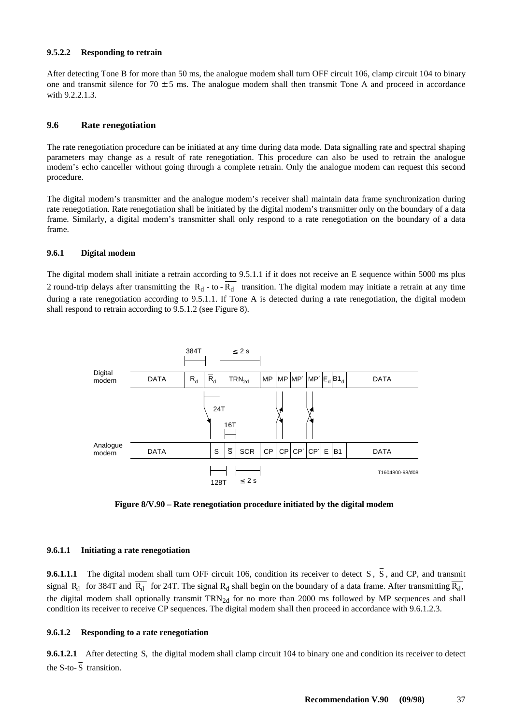#### <span id="page-44-0"></span>**9.5.2.2 Responding to retrain**

After detecting Tone B for more than 50 ms, the analogue modem shall turn OFF circuit 106, clamp circuit 104 to binary one and transmit silence for  $70 \pm 5$  ms. The analogue modem shall then transmit Tone A and proceed in accordance with 9.2.2.1.3.

#### **9.6 Rate renegotiation**

The rate renegotiation procedure can be initiated at any time during data mode. Data signalling rate and spectral shaping parameters may change as a result of rate renegotiation. This procedure can also be used to retrain the analogue modem's echo canceller without going through a complete retrain. Only the analogue modem can request this second procedure.

The digital modem's transmitter and the analogue modem's receiver shall maintain data frame synchronization during rate renegotiation. Rate renegotiation shall be initiated by the digital modem's transmitter only on the boundary of a data frame. Similarly, a digital modem's transmitter shall only respond to a rate renegotiation on the boundary of a data frame.

#### **9.6.1 Digital modem**

The digital modem shall initiate a retrain according to 9.5.1.1 if it does not receive an E sequence within 5000 ms plus 2 round-trip delays after transmitting the  $R_d$  - to -  $\overline{R_d}$  transition. The digital modem may initiate a retrain at any time during a rate renegotiation according to 9.5.1.1. If Tone A is detected during a rate renegotiation, the digital modem shall respond to retrain according to 9.5.1.2 (see Figure 8).





#### **9.6.1.1 Initiating a rate renegotiation**

**9.6.1.1.1** The digital modem shall turn OFF circuit 106, condition its receiver to detect  $S$ ,  $\overline{S}$ , and CP, and transmit signal R<sub>d</sub> for 384T and  $\overline{R_d}$  for 24T. The signal R<sub>d</sub> shall begin on the boundary of a data frame. After transmitting  $\overline{R_d}$ , the digital modem shall optionally transmit  $TRN<sub>2d</sub>$  for no more than 2000 ms followed by MP sequences and shall condition its receiver to receive CP sequences. The digital modem shall then proceed in accordance with 9.6.1.2.3.

#### **9.6.1.2 Responding to a rate renegotiation**

**9.6.1.2.1** After detecting S, the digital modem shall clamp circuit 104 to binary one and condition its receiver to detect the S-to- $\overline{S}$  transition.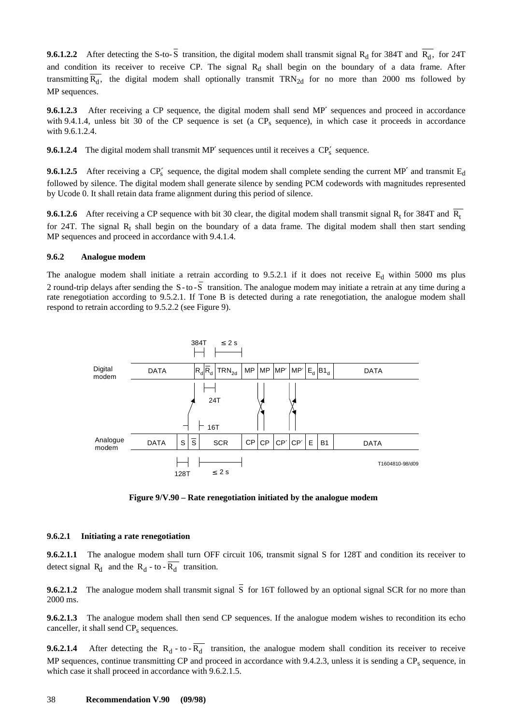<span id="page-45-0"></span>**9.6.1.2.2** After detecting the S-to- $\overline{S}$  transition, the digital modem shall transmit signal R<sub>d</sub> for 384T and  $\overline{R_{d}}$ , for 24T and condition its receiver to receive CP. The signal  $R_d$  shall begin on the boundary of a data frame. After transmitting  $\overline{R_d}$ , the digital modem shall optionally transmit TRN<sub>2d</sub> for no more than 2000 ms followed by MP sequences.

**9.6.1.2.3** After receiving a CP sequence, the digital modem shall send MP' sequences and proceed in accordance with 9.4.1.4, unless bit 30 of the CP sequence is set (a  $CP<sub>s</sub>$  sequence), in which case it proceeds in accordance with 9.6.1.2.4.

**9.6.1.2.4** The digital modem shall transmit MP' sequences until it receives a CP<sub>s</sub>' sequence.

**9.6.1.2.5** After receiving a  $CP'_s$  sequence, the digital modem shall complete sending the current MP' and transmit  $E_d$ followed by silence. The digital modem shall generate silence by sending PCM codewords with magnitudes represented by Ucode 0. It shall retain data frame alignment during this period of silence.

**9.6.1.2.6** After receiving a CP sequence with bit 30 clear, the digital modem shall transmit signal  $R_t$  for 384T and  $\overline{R_t}$ for 24T. The signal  $R_t$  shall begin on the boundary of a data frame. The digital modem shall then start sending MP sequences and proceed in accordance with 9.4.1.4.

#### **9.6.2 Analogue modem**

The analogue modem shall initiate a retrain according to 9.5.2.1 if it does not receive  $E<sub>d</sub>$  within 5000 ms plus 2 round-trip delays after sending the S-to-S transition. The analogue modem may initiate a retrain at any time during a rate renegotiation according to 9.5.2.1. If Tone B is detected during a rate renegotiation, the analogue modem shall respond to retrain according to 9.5.2.2 (see Figure 9).



**Figure 9/V.90 – Rate renegotiation initiated by the analogue modem**

#### **9.6.2.1 Initiating a rate renegotiation**

**9.6.2.1.1** The analogue modem shall turn OFF circuit 106, transmit signal S for 128T and condition its receiver to detect signal  $R_d$  and the  $R_d$  - to -  $R_d$  transition.

**9.6.2.1.2** The analogue modem shall transmit signal  $\overline{S}$  for 16T followed by an optional signal SCR for no more than 2000 ms.

**9.6.2.1.3** The analogue modem shall then send CP sequences. If the analogue modem wishes to recondition its echo canceller, it shall send CP<sub>s</sub> sequences.

**9.6.2.1.4** After detecting the  $R_d$  - to -  $R_d$  transition, the analogue modem shall condition its receiver to receive MP sequences, continue transmitting CP and proceed in accordance with 9.4.2.3, unless it is sending a  $CP<sub>s</sub>$  sequence, in which case it shall proceed in accordance with 9.6.2.1.5.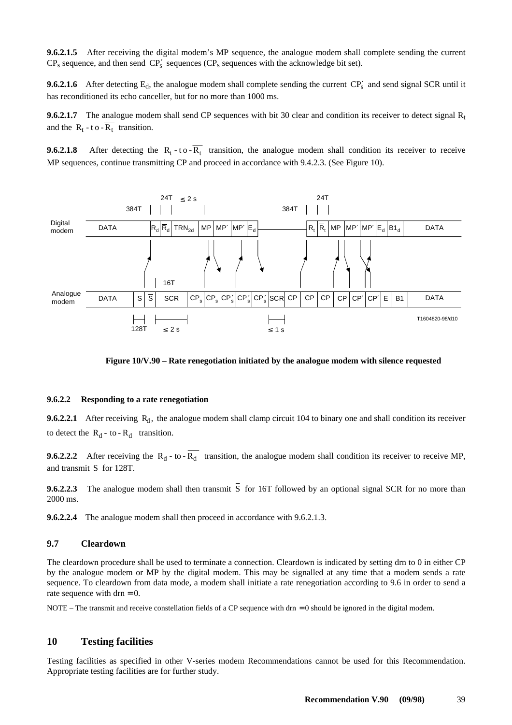<span id="page-46-0"></span>**9.6.2.1.5** After receiving the digital modem's MP sequence, the analogue modem shall complete sending the current  $CP_s$  sequence, and then send  $CP'_s$  sequences ( $CP_s$  sequences with the acknowledge bit set).

**9.6.2.1.6** After detecting  $E_d$ , the analogue modem shall complete sending the current  $CP_s'$  and send signal SCR until it has reconditioned its echo canceller, but for no more than 1000 ms.

**9.6.2.1.7** The analogue modem shall send CP sequences with bit 30 clear and condition its receiver to detect signal  $R_t$ and the  $R_t - t$  o  $\overline{R_t}$  transition.

**9.6.2.1.8** After detecting the  $R_t$ -to- $\overline{R_t}$  transition, the analogue modem shall condition its receiver to receive MP sequences, continue transmitting CP and proceed in accordance with 9.4.2.3. (See Figure 10).



#### **Figure 10/V.90 – Rate renegotiation initiated by the analogue modem with silence requested**

#### **9.6.2.2 Responding to a rate renegotiation**

**9.6.2.2.1** After receiving  $R_d$ , the analogue modem shall clamp circuit 104 to binary one and shall condition its receiver to detect the  $R_d$  - to -  $\overline{R_d}$  transition.

**9.6.2.2.2** After receiving the  $R_d$  - to -  $\overline{R_d}$  transition, the analogue modem shall condition its receiver to receive MP, and transmit S for 128T.

**9.6.2.2.3** The analogue modem shall then transmit  $\overline{S}$  for 16T followed by an optional signal SCR for no more than 2000 ms.

**9.6.2.2.4** The analogue modem shall then proceed in accordance with 9.6.2.1.3.

#### **9.7 Cleardown**

The cleardown procedure shall be used to terminate a connection. Cleardown is indicated by setting drn to 0 in either CP by the analogue modem or MP by the digital modem. This may be signalled at any time that a modem sends a rate sequence. To cleardown from data mode, a modem shall initiate a rate renegotiation according to 9.6 in order to send a rate sequence with  $dr = 0$ .

NOTE – The transmit and receive constellation fields of a CP sequence with drn = 0 should be ignored in the digital modem.

#### **10 Testing facilities**

Testing facilities as specified in other V-series modem Recommendations cannot be used for this Recommendation. Appropriate testing facilities are for further study.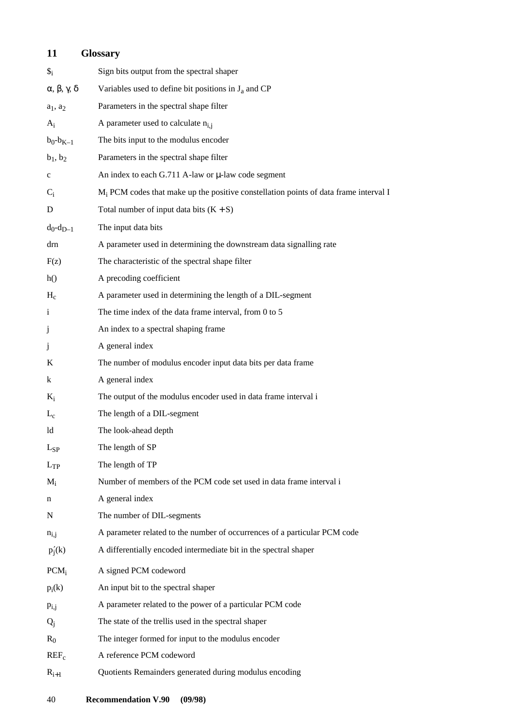# <span id="page-47-0"></span>**11 Glossary**

| $\mathcal{S}_i$                          | Sign bits output from the spectral shaper                                               |
|------------------------------------------|-----------------------------------------------------------------------------------------|
| $\alpha$ , $\beta$ , $\gamma$ , $\delta$ | Variables used to define bit positions in $J_a$ and CP                                  |
| $a_1$ , $a_2$                            | Parameters in the spectral shape filter                                                 |
| $A_i$                                    | A parameter used to calculate $n_{i,j}$                                                 |
| $b_0 - b_{K-1}$                          | The bits input to the modulus encoder                                                   |
| $b_1, b_2$                               | Parameters in the spectral shape filter                                                 |
| $\mathbf c$                              | An index to each G.711 A-law or $\mu$ -law code segment                                 |
| $C_i$                                    | $M_i$ PCM codes that make up the positive constellation points of data frame interval I |
| D                                        | Total number of input data bits $(K + S)$                                               |
| $d_0 - d_{D-1}$                          | The input data bits                                                                     |
| drn                                      | A parameter used in determining the downstream data signalling rate                     |
| F(z)                                     | The characteristic of the spectral shape filter                                         |
| h()                                      | A precoding coefficient                                                                 |
| $H_c$                                    | A parameter used in determining the length of a DIL-segment                             |
| $\mathbf{i}$                             | The time index of the data frame interval, from 0 to 5                                  |
| j                                        | An index to a spectral shaping frame                                                    |
| j                                        | A general index                                                                         |
| K                                        | The number of modulus encoder input data bits per data frame                            |
| k                                        | A general index                                                                         |
| $K_i$                                    | The output of the modulus encoder used in data frame interval i                         |
| $L_c$                                    | The length of a DIL-segment                                                             |
| ld                                       | The look-ahead depth                                                                    |
| $L_{SP}$                                 | The length of SP                                                                        |
| $L_{TP}$                                 | The length of TP                                                                        |
| $M_i$                                    | Number of members of the PCM code set used in data frame interval i                     |
| n                                        | A general index                                                                         |
| N                                        | The number of DIL-segments                                                              |
| $n_{i,j}$                                | A parameter related to the number of occurrences of a particular PCM code               |
| $p'_j(k)$                                | A differentially encoded intermediate bit in the spectral shaper                        |
| PCM <sub>i</sub>                         | A signed PCM codeword                                                                   |
| $p_i(k)$                                 | An input bit to the spectral shaper                                                     |
| $p_{i,j}$                                | A parameter related to the power of a particular PCM code                               |
| $Q_i$                                    | The state of the trellis used in the spectral shaper                                    |
| $R_0$                                    | The integer formed for input to the modulus encoder                                     |
| $REF_c$                                  | A reference PCM codeword                                                                |
| $R_{i+1}$                                | Quotients Remainders generated during modulus encoding                                  |
|                                          |                                                                                         |